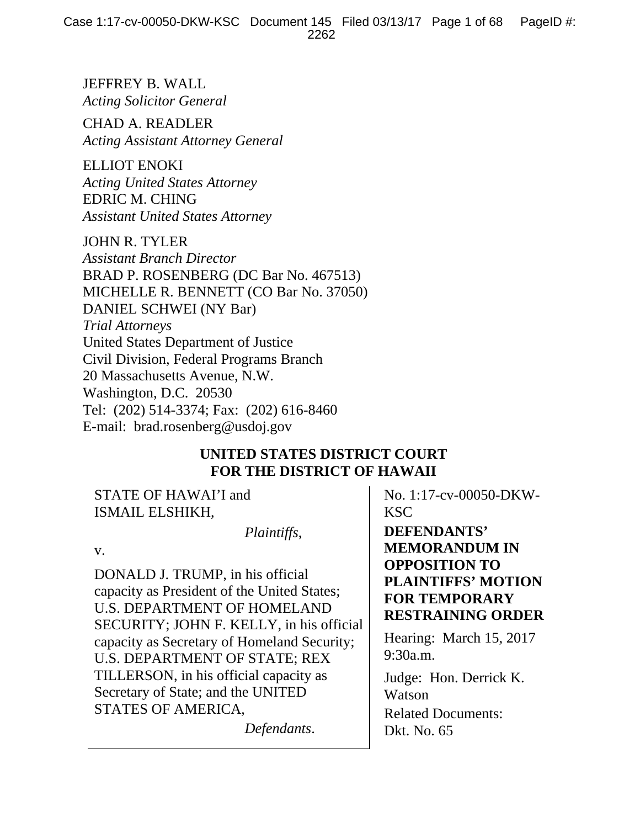JEFFREY B. WALL *Acting Solicitor General* 

CHAD A. READLER *Acting Assistant Attorney General* 

ELLIOT ENOKI *Acting United States Attorney*  EDRIC M. CHING *Assistant United States Attorney* 

JOHN R. TYLER

*Assistant Branch Director*  BRAD P. ROSENBERG (DC Bar No. 467513) MICHELLE R. BENNETT (CO Bar No. 37050) DANIEL SCHWEI (NY Bar) *Trial Attorneys*  United States Department of Justice Civil Division, Federal Programs Branch 20 Massachusetts Avenue, N.W. Washington, D.C. 20530 Tel: (202) 514-3374; Fax: (202) 616-8460 E-mail: brad.rosenberg@usdoj.gov

# **UNITED STATES DISTRICT COURT FOR THE DISTRICT OF HAWAII**

STATE OF HAWAI'I and ISMAIL ELSHIKH,

 *Plaintiffs*,

v.

DONALD J. TRUMP, in his official capacity as President of the United States; U.S. DEPARTMENT OF HOMELAND SECURITY; JOHN F. KELLY, in his official capacity as Secretary of Homeland Security; U.S. DEPARTMENT OF STATE; REX TILLERSON, in his official capacity as Secretary of State; and the UNITED STATES OF AMERICA,

*Defendants*.

No. 1:17-cv-00050-DKW-KSC

**DEFENDANTS' MEMORANDUM IN OPPOSITION TO PLAINTIFFS' MOTION FOR TEMPORARY RESTRAINING ORDER** 

Hearing: March 15, 2017 9:30a.m.

Judge: Hon. Derrick K. Watson Related Documents: Dkt. No. 65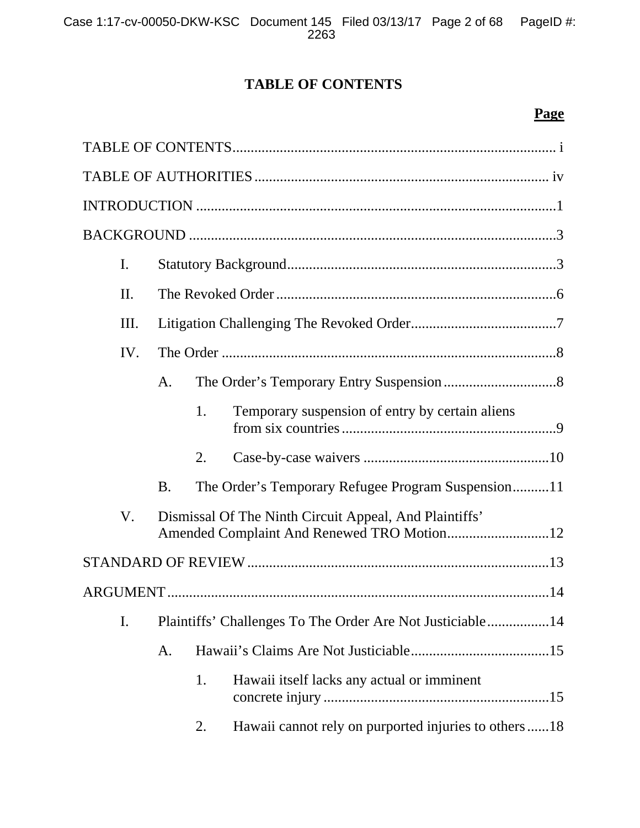# **TABLE OF CONTENTS**

# **Page**

| I.  |           |    |                                                           |
|-----|-----------|----|-----------------------------------------------------------|
| II. |           |    |                                                           |
| Ш.  |           |    |                                                           |
| IV. |           |    |                                                           |
|     | A.        |    |                                                           |
|     |           | 1. | Temporary suspension of entry by certain aliens           |
|     |           | 2. |                                                           |
|     | <b>B.</b> |    | The Order's Temporary Refugee Program Suspension11        |
| V.  |           |    | Dismissal Of The Ninth Circuit Appeal, And Plaintiffs'    |
|     |           |    |                                                           |
|     |           |    |                                                           |
| I.  |           |    | Plaintiffs' Challenges To The Order Are Not Justiciable14 |
|     | A.        |    |                                                           |
|     |           | 1. | Hawaii itself lacks any actual or imminent                |
|     |           | 2. | Hawaii cannot rely on purported injuries to others18      |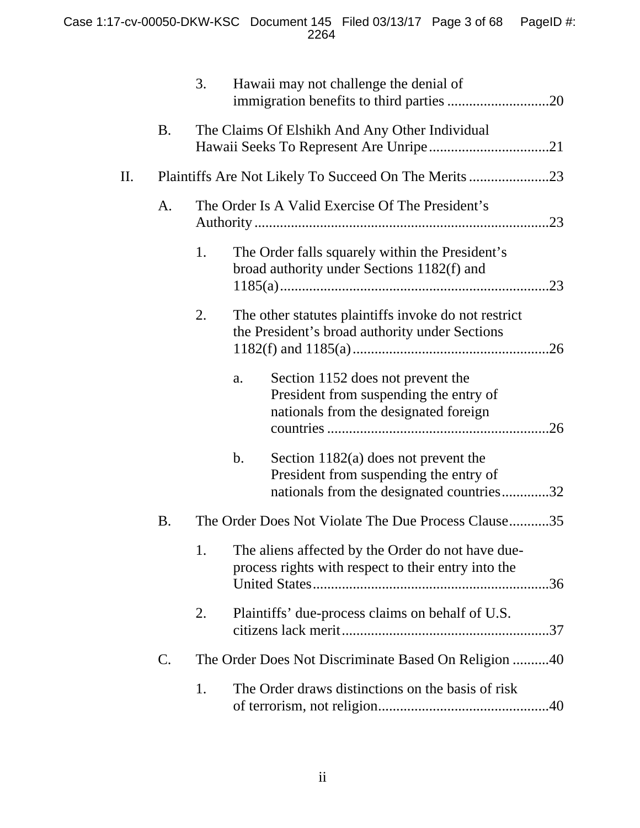|    |                | 3. |               | Hawaii may not challenge the denial of                                                                                        |
|----|----------------|----|---------------|-------------------------------------------------------------------------------------------------------------------------------|
|    | <b>B.</b>      |    |               | The Claims Of Elshikh And Any Other Individual                                                                                |
| П. |                |    |               |                                                                                                                               |
|    | A.             |    |               | The Order Is A Valid Exercise Of The President's                                                                              |
|    |                | 1. |               | The Order falls squarely within the President's<br>broad authority under Sections 1182(f) and                                 |
|    |                | 2. |               | The other statutes plaintiffs invoke do not restrict<br>the President's broad authority under Sections                        |
|    |                |    | a.            | Section 1152 does not prevent the<br>President from suspending the entry of<br>nationals from the designated foreign          |
|    |                |    | $\mathbf b$ . | Section $1182(a)$ does not prevent the<br>President from suspending the entry of<br>nationals from the designated countries32 |
|    | B.             |    |               | The Order Does Not Violate The Due Process Clause35                                                                           |
|    |                | 1. |               | The aliens affected by the Order do not have due-<br>process rights with respect to their entry into the                      |
|    |                | 2. |               | Plaintiffs' due-process claims on behalf of U.S.                                                                              |
|    | $\mathbf{C}$ . |    |               | The Order Does Not Discriminate Based On Religion 40                                                                          |
|    |                | 1. |               | The Order draws distinctions on the basis of risk                                                                             |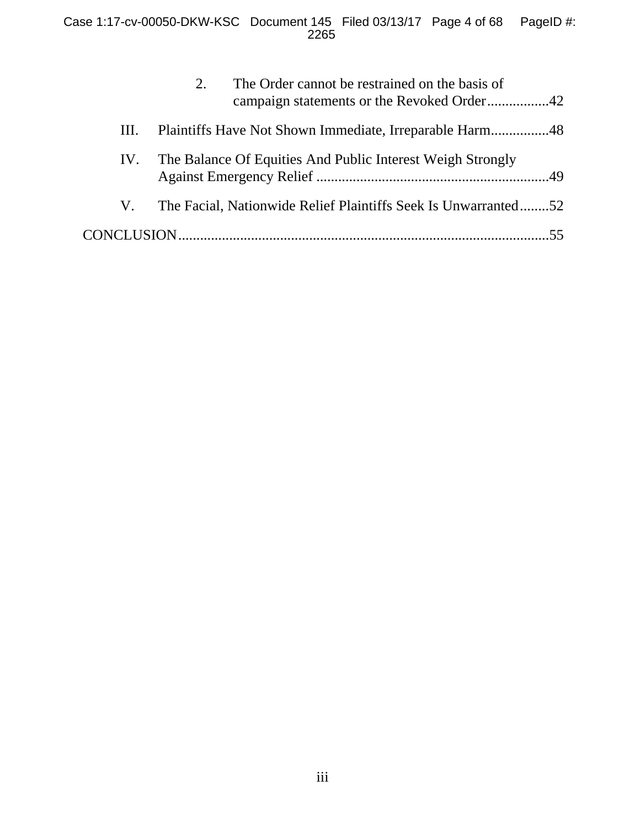|     | 2. | The Order cannot be restrained on the basis of                 |  |
|-----|----|----------------------------------------------------------------|--|
| HI. |    |                                                                |  |
| IV. |    | The Balance Of Equities And Public Interest Weigh Strongly     |  |
| V.  |    | The Facial, Nationwide Relief Plaintiffs Seek Is Unwarranted52 |  |
|     |    |                                                                |  |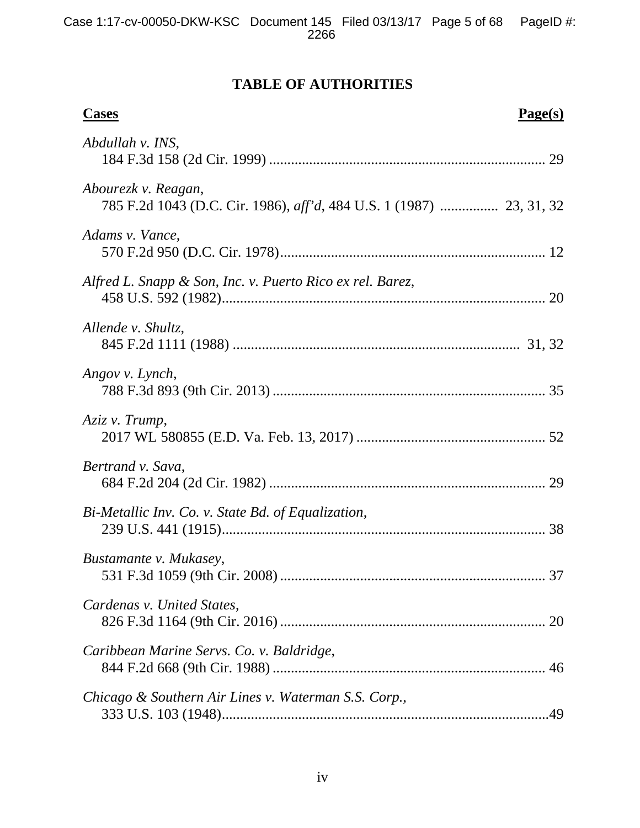# **TABLE OF AUTHORITIES**

| Page(s)<br><b>Cases</b>                                   |  |
|-----------------------------------------------------------|--|
| Abdullah v. INS,                                          |  |
| Abourezk v. Reagan,                                       |  |
| Adams v. Vance,                                           |  |
| Alfred L. Snapp & Son, Inc. v. Puerto Rico ex rel. Barez, |  |
| Allende v. Shultz,                                        |  |
| Angov v. Lynch,                                           |  |
| Aziz v. Trump,                                            |  |
| Bertrand v. Sava,                                         |  |
| Bi-Metallic Inv. Co. v. State Bd. of Equalization,        |  |
| Bustamante v. Mukasey,                                    |  |
| Cardenas v. United States,                                |  |
| Caribbean Marine Servs. Co. v. Baldridge,                 |  |
| Chicago & Southern Air Lines v. Waterman S.S. Corp.,      |  |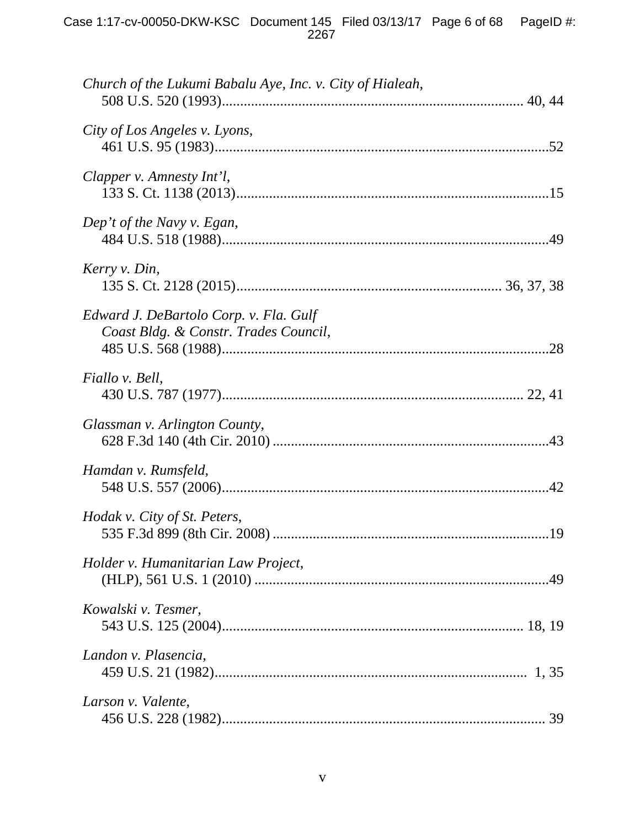| Church of the Lukumi Babalu Aye, Inc. v. City of Hialeah,                       |  |
|---------------------------------------------------------------------------------|--|
| City of Los Angeles v. Lyons,                                                   |  |
| Clapper v. Amnesty Int'l,                                                       |  |
| Dep't of the Navy v. Egan,                                                      |  |
| Kerry v. Din,                                                                   |  |
| Edward J. DeBartolo Corp. v. Fla. Gulf<br>Coast Bldg. & Constr. Trades Council, |  |
| Fiallo v. Bell,                                                                 |  |
| Glassman v. Arlington County,                                                   |  |
| Hamdan v. Rumsfeld,                                                             |  |
| Hodak v. City of St. Peters,                                                    |  |
| Holder v. Humanitarian Law Project,                                             |  |
| Kowalski v. Tesmer,                                                             |  |
| Landon v. Plasencia,                                                            |  |
| Larson v. Valente,                                                              |  |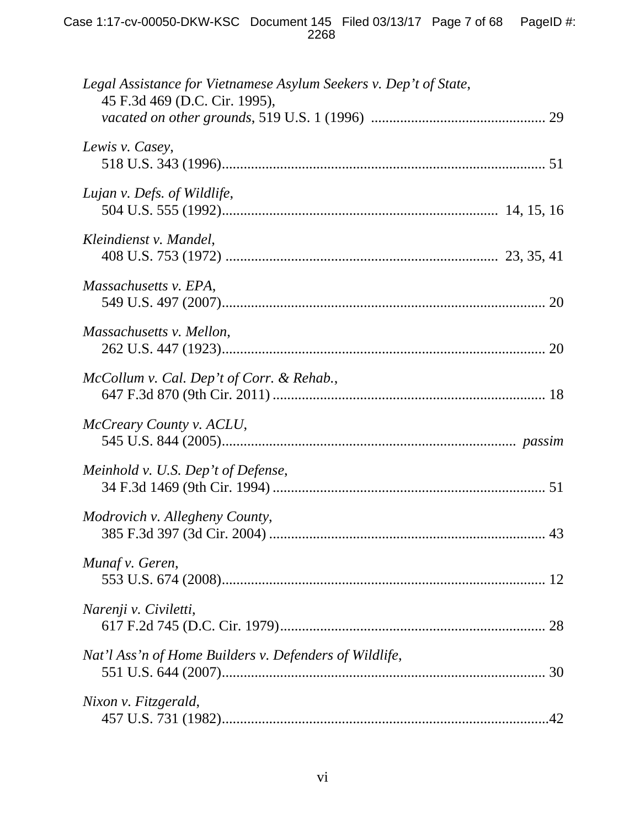| Legal Assistance for Vietnamese Asylum Seekers v. Dep't of State,<br>45 F.3d 469 (D.C. Cir. 1995), |
|----------------------------------------------------------------------------------------------------|
|                                                                                                    |
| Lewis v. Casey,                                                                                    |
| Lujan v. Defs. of Wildlife,                                                                        |
| Kleindienst v. Mandel,                                                                             |
| Massachusetts v. EPA,                                                                              |
| Massachusetts v. Mellon,                                                                           |
| McCollum v. Cal. Dep't of Corr. & Rehab.,                                                          |
| McCreary County v. ACLU,                                                                           |
| Meinhold v. U.S. Dep't of Defense,                                                                 |
| Modrovich v. Allegheny County,                                                                     |
| Munaf v. Geren,                                                                                    |
| Narenji v. Civiletti,                                                                              |
| Nat'l Ass'n of Home Builders v. Defenders of Wildlife,                                             |
| Nixon v. Fitzgerald,                                                                               |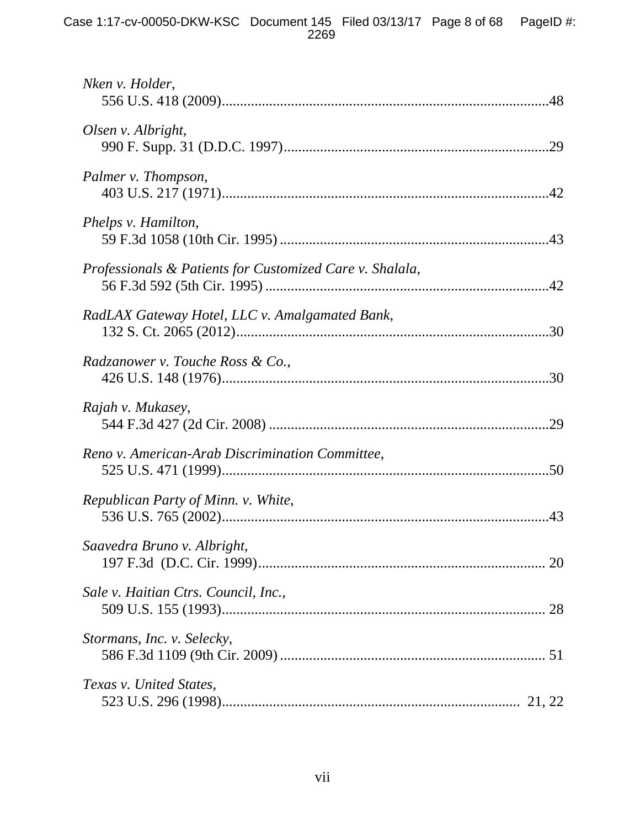### Case 1:17-cv-00050-DKW-KSC Document 145 Filed 03/13/17 Page 8 of 68 PageID #: 2269

| Nken v. Holder,                                          |
|----------------------------------------------------------|
| Olsen v. Albright,                                       |
| Palmer v. Thompson,                                      |
| Phelps v. Hamilton,                                      |
| Professionals & Patients for Customized Care v. Shalala, |
| RadLAX Gateway Hotel, LLC v. Amalgamated Bank,           |
| Radzanower v. Touche Ross & Co.,                         |
| Rajah v. Mukasey,                                        |
| Reno v. American-Arab Discrimination Committee,          |
| Republican Party of Minn. v. White,                      |
| Saavedra Bruno v. Albright,                              |
| Sale v. Haitian Ctrs. Council, Inc.,                     |
| Stormans, Inc. v. Selecky,                               |
| Texas v. United States,                                  |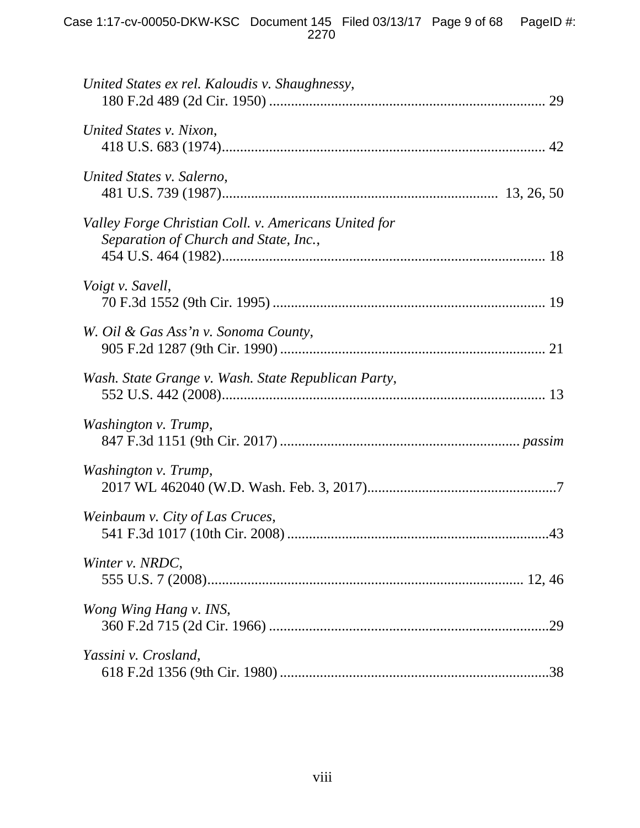| United States ex rel. Kaloudis v. Shaughnessy,                                                |
|-----------------------------------------------------------------------------------------------|
| United States v. Nixon,                                                                       |
| United States v. Salerno,                                                                     |
| Valley Forge Christian Coll. v. Americans United for<br>Separation of Church and State, Inc., |
| Voigt v. Savell,                                                                              |
| W. Oil & Gas Ass'n v. Sonoma County,                                                          |
| Wash. State Grange v. Wash. State Republican Party,                                           |
| Washington v. Trump,                                                                          |
| Washington v. Trump,                                                                          |
| Weinbaum v. City of Las Cruces,                                                               |
| Winter v. NRDC,                                                                               |
| Wong Wing Hang v. INS,                                                                        |
| Yassini v. Crosland,                                                                          |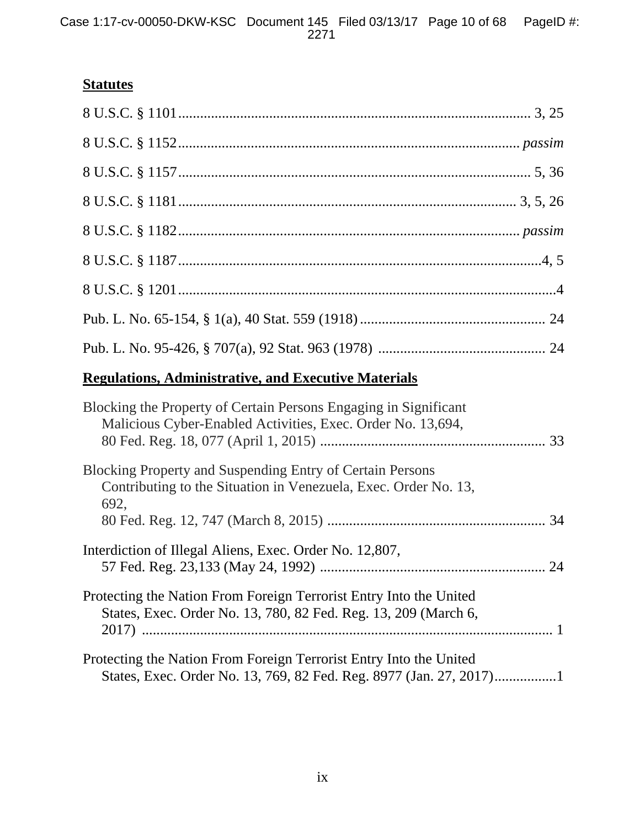# **Statutes**

# **Regulations, Administrative, and Executive Materials**

| Blocking the Property of Certain Persons Engaging in Significant<br>Malicious Cyber-Enabled Activities, Exec. Order No. 13,694,             |  |
|---------------------------------------------------------------------------------------------------------------------------------------------|--|
| <b>Blocking Property and Suspending Entry of Certain Persons</b><br>Contributing to the Situation in Venezuela, Exec. Order No. 13,<br>692, |  |
|                                                                                                                                             |  |
| Interdiction of Illegal Aliens, Exec. Order No. 12,807,                                                                                     |  |
| Protecting the Nation From Foreign Terrorist Entry Into the United<br>States, Exec. Order No. 13, 780, 82 Fed. Reg. 13, 209 (March 6,       |  |
| Protecting the Nation From Foreign Terrorist Entry Into the United<br>States, Exec. Order No. 13, 769, 82 Fed. Reg. 8977 (Jan. 27, 2017)1   |  |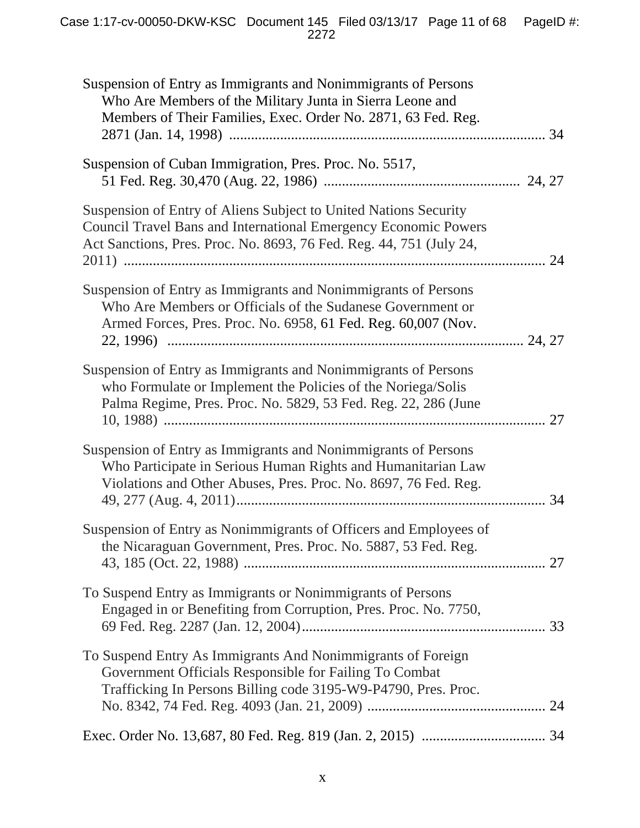| Suspension of Entry as Immigrants and Nonimmigrants of Persons<br>Who Are Members of the Military Junta in Sierra Leone and<br>Members of Their Families, Exec. Order No. 2871, 63 Fed. Reg.               |  |
|------------------------------------------------------------------------------------------------------------------------------------------------------------------------------------------------------------|--|
| Suspension of Cuban Immigration, Pres. Proc. No. 5517,                                                                                                                                                     |  |
| Suspension of Entry of Aliens Subject to United Nations Security<br>Council Travel Bans and International Emergency Economic Powers<br>Act Sanctions, Pres. Proc. No. 8693, 76 Fed. Reg. 44, 751 (July 24, |  |
| Suspension of Entry as Immigrants and Nonimmigrants of Persons<br>Who Are Members or Officials of the Sudanese Government or<br>Armed Forces, Pres. Proc. No. 6958, 61 Fed. Reg. 60,007 (Nov.              |  |
| Suspension of Entry as Immigrants and Nonimmigrants of Persons<br>who Formulate or Implement the Policies of the Noriega/Solis<br>Palma Regime, Pres. Proc. No. 5829, 53 Fed. Reg. 22, 286 (June           |  |
| Suspension of Entry as Immigrants and Nonimmigrants of Persons<br>Who Participate in Serious Human Rights and Humanitarian Law<br>Violations and Other Abuses, Pres. Proc. No. 8697, 76 Fed. Reg.          |  |
| Suspension of Entry as Nonimmigrants of Officers and Employees of<br>the Nicaraguan Government, Pres. Proc. No. 5887, 53 Fed. Reg.                                                                         |  |
| To Suspend Entry as Immigrants or Nonimmigrants of Persons<br>Engaged in or Benefiting from Corruption, Pres. Proc. No. 7750,                                                                              |  |
| To Suspend Entry As Immigrants And Nonimmigrants of Foreign<br>Government Officials Responsible for Failing To Combat<br>Trafficking In Persons Billing code 3195-W9-P4790, Pres. Proc.                    |  |
|                                                                                                                                                                                                            |  |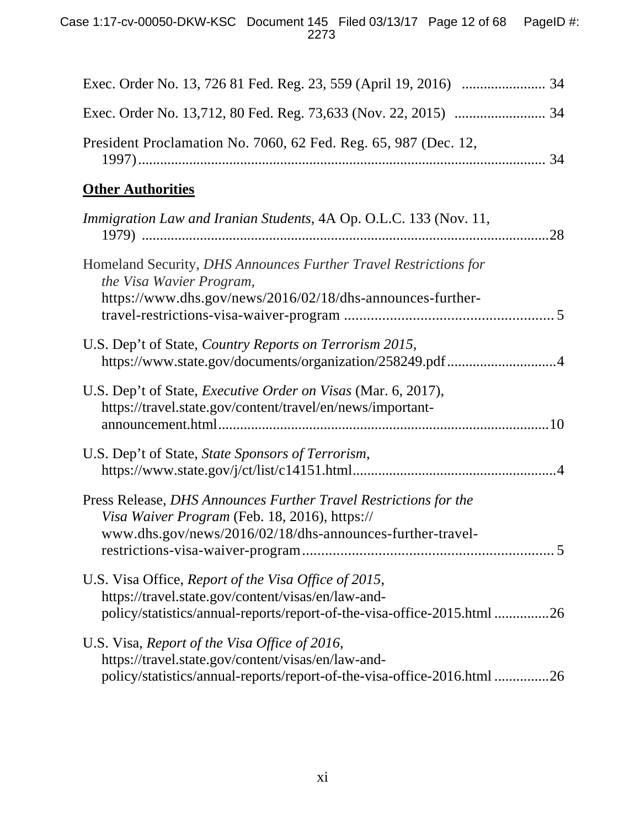| President Proclamation No. 7060, 62 Fed. Reg. 65, 987 (Dec. 12,                                                                                                                       |
|---------------------------------------------------------------------------------------------------------------------------------------------------------------------------------------|
| <b>Other Authorities</b>                                                                                                                                                              |
| Immigration Law and Iranian Students, 4A Op. O.L.C. 133 (Nov. 11,                                                                                                                     |
| Homeland Security, DHS Announces Further Travel Restrictions for<br>the Visa Wavier Program,                                                                                          |
| https://www.dhs.gov/news/2016/02/18/dhs-announces-further-                                                                                                                            |
| U.S. Dep't of State, Country Reports on Terrorism 2015,<br>https://www.state.gov/documents/organization/258249.pdf 4                                                                  |
| U.S. Dep't of State, <i>Executive Order on Visas</i> (Mar. 6, 2017),<br>https://travel.state.gov/content/travel/en/news/important-                                                    |
| U.S. Dep't of State, State Sponsors of Terrorism,                                                                                                                                     |
| Press Release, DHS Announces Further Travel Restrictions for the<br>Visa Waiver Program (Feb. 18, 2016), https://<br>www.dhs.gov/news/2016/02/18/dhs-announces-further-travel-        |
| U.S. Visa Office, Report of the Visa Office of 2015,<br>https://travel.state.gov/content/visas/en/law-and-<br>policy/statistics/annual-reports/report-of-the-visa-office-2015.html 26 |
| U.S. Visa, Report of the Visa Office of 2016,<br>https://travel.state.gov/content/visas/en/law-and-<br>policy/statistics/annual-reports/report-of-the-visa-office-2016.html 26        |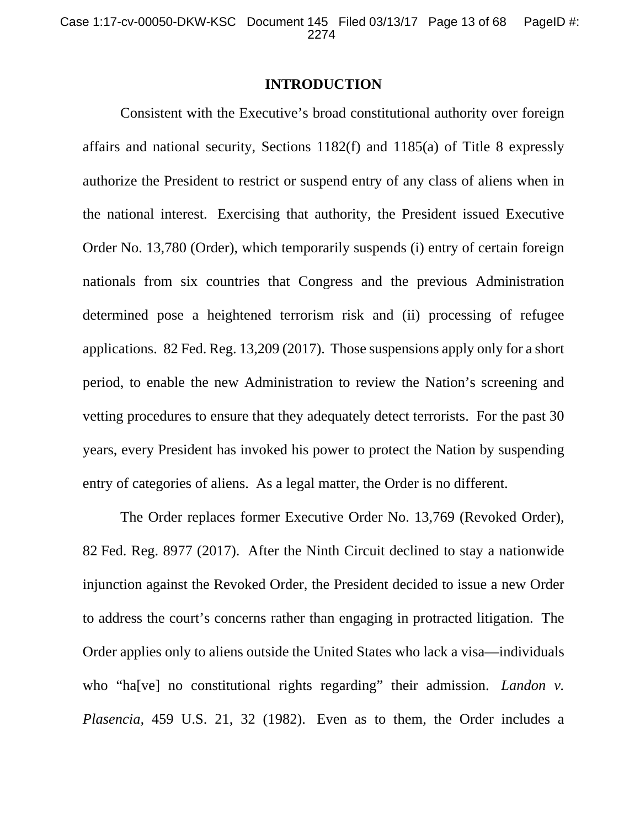### **INTRODUCTION**

Consistent with the Executive's broad constitutional authority over foreign affairs and national security, Sections 1182(f) and 1185(a) of Title 8 expressly authorize the President to restrict or suspend entry of any class of aliens when in the national interest. Exercising that authority, the President issued Executive Order No. 13,780 (Order), which temporarily suspends (i) entry of certain foreign nationals from six countries that Congress and the previous Administration determined pose a heightened terrorism risk and (ii) processing of refugee applications. 82 Fed. Reg. 13,209 (2017). Those suspensions apply only for a short period, to enable the new Administration to review the Nation's screening and vetting procedures to ensure that they adequately detect terrorists. For the past 30 years, every President has invoked his power to protect the Nation by suspending entry of categories of aliens. As a legal matter, the Order is no different.

The Order replaces former Executive Order No. 13,769 (Revoked Order), 82 Fed. Reg. 8977 (2017). After the Ninth Circuit declined to stay a nationwide injunction against the Revoked Order, the President decided to issue a new Order to address the court's concerns rather than engaging in protracted litigation. The Order applies only to aliens outside the United States who lack a visa—individuals who "ha<sup>[ve]</sup> no constitutional rights regarding" their admission. *Landon v. Plasencia,* 459 U.S. 21, 32 (1982). Even as to them, the Order includes a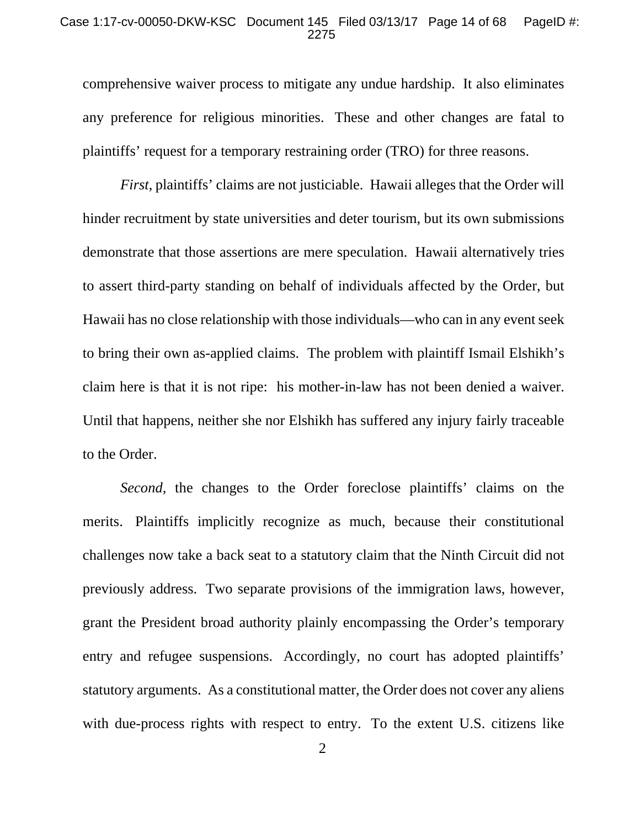#### Case 1:17-cv-00050-DKW-KSC Document 145 Filed 03/13/17 Page 14 of 68 PageID #: 2275

comprehensive waiver process to mitigate any undue hardship. It also eliminates any preference for religious minorities. These and other changes are fatal to plaintiffs' request for a temporary restraining order (TRO) for three reasons.

*First*, plaintiffs' claims are not justiciable. Hawaii alleges that the Order will hinder recruitment by state universities and deter tourism, but its own submissions demonstrate that those assertions are mere speculation. Hawaii alternatively tries to assert third-party standing on behalf of individuals affected by the Order, but Hawaii has no close relationship with those individuals—who can in any event seek to bring their own as-applied claims. The problem with plaintiff Ismail Elshikh's claim here is that it is not ripe: his mother-in-law has not been denied a waiver. Until that happens, neither she nor Elshikh has suffered any injury fairly traceable to the Order.

*Second*, the changes to the Order foreclose plaintiffs' claims on the merits. Plaintiffs implicitly recognize as much, because their constitutional challenges now take a back seat to a statutory claim that the Ninth Circuit did not previously address. Two separate provisions of the immigration laws, however, grant the President broad authority plainly encompassing the Order's temporary entry and refugee suspensions. Accordingly, no court has adopted plaintiffs' statutory arguments. As a constitutional matter, the Order does not cover any aliens with due-process rights with respect to entry. To the extent U.S. citizens like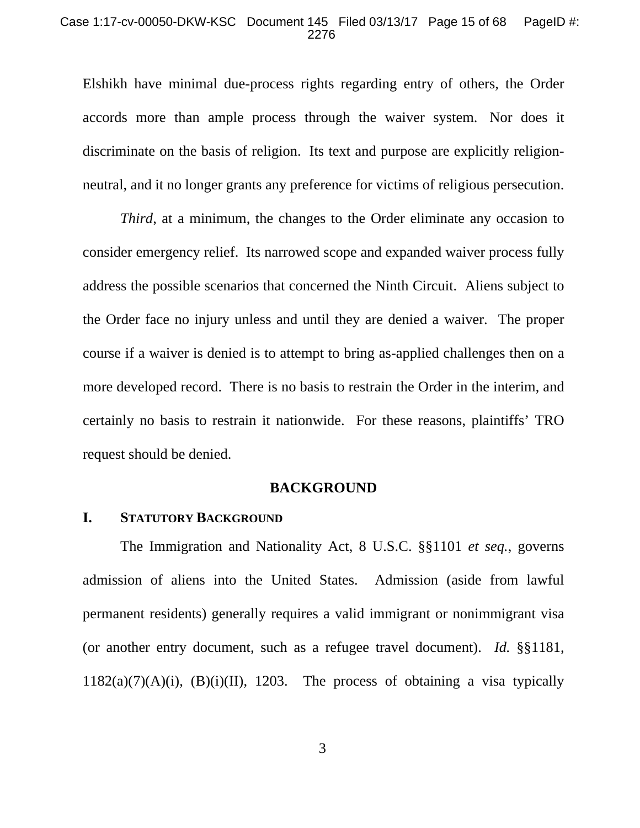#### Case 1:17-cv-00050-DKW-KSC Document 145 Filed 03/13/17 Page 15 of 68 PageID #: 2276

Elshikh have minimal due-process rights regarding entry of others, the Order accords more than ample process through the waiver system. Nor does it discriminate on the basis of religion. Its text and purpose are explicitly religionneutral, and it no longer grants any preference for victims of religious persecution.

*Third*, at a minimum, the changes to the Order eliminate any occasion to consider emergency relief. Its narrowed scope and expanded waiver process fully address the possible scenarios that concerned the Ninth Circuit. Aliens subject to the Order face no injury unless and until they are denied a waiver. The proper course if a waiver is denied is to attempt to bring as-applied challenges then on a more developed record. There is no basis to restrain the Order in the interim, and certainly no basis to restrain it nationwide. For these reasons, plaintiffs' TRO request should be denied.

#### **BACKGROUND**

### **I. STATUTORY BACKGROUND**

The Immigration and Nationality Act, 8 U.S.C. §§1101 *et seq.*, governs admission of aliens into the United States. Admission (aside from lawful permanent residents) generally requires a valid immigrant or nonimmigrant visa (or another entry document, such as a refugee travel document). *Id.* §§1181,  $1182(a)(7)(A)(i)$ ,  $(B)(i)(II)$ , 1203. The process of obtaining a visa typically

3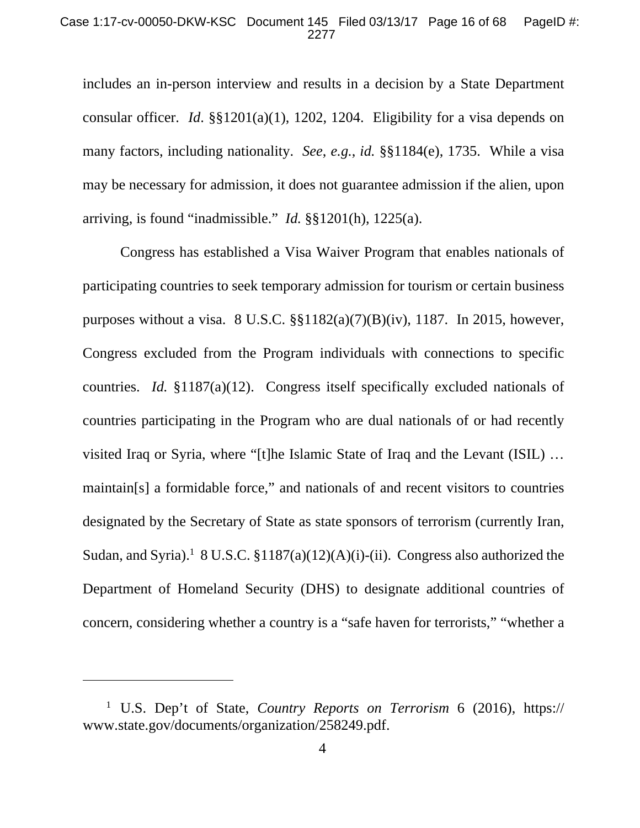#### Case 1:17-cv-00050-DKW-KSC Document 145 Filed 03/13/17 Page 16 of 68 PageID #: 2277

includes an in-person interview and results in a decision by a State Department consular officer. *Id*. §§1201(a)(1), 1202, 1204. Eligibility for a visa depends on many factors, including nationality. *See*, *e.g.*, *id.* §§1184(e), 1735. While a visa may be necessary for admission, it does not guarantee admission if the alien, upon arriving, is found "inadmissible." *Id.* §§1201(h), 1225(a).

Congress has established a Visa Waiver Program that enables nationals of participating countries to seek temporary admission for tourism or certain business purposes without a visa.  $8 \text{ U.S.C. }$  $\S$ §1182(a)(7)(B)(iv), 1187. In 2015, however, Congress excluded from the Program individuals with connections to specific countries. *Id.* §1187(a)(12). Congress itself specifically excluded nationals of countries participating in the Program who are dual nationals of or had recently visited Iraq or Syria, where "[t]he Islamic State of Iraq and the Levant (ISIL) … maintain[s] a formidable force," and nationals of and recent visitors to countries designated by the Secretary of State as state sponsors of terrorism (currently Iran, Sudan, and Syria).<sup>1</sup> 8 U.S.C.  $$1187(a)(12)(A)(i)$ -(ii). Congress also authorized the Department of Homeland Security (DHS) to designate additional countries of concern, considering whether a country is a "safe haven for terrorists," "whether a

 $\overline{a}$ 

<sup>1</sup> U.S. Dep't of State, *Country Reports on Terrorism* 6 (2016), https:// www.state.gov/documents/organization/258249.pdf.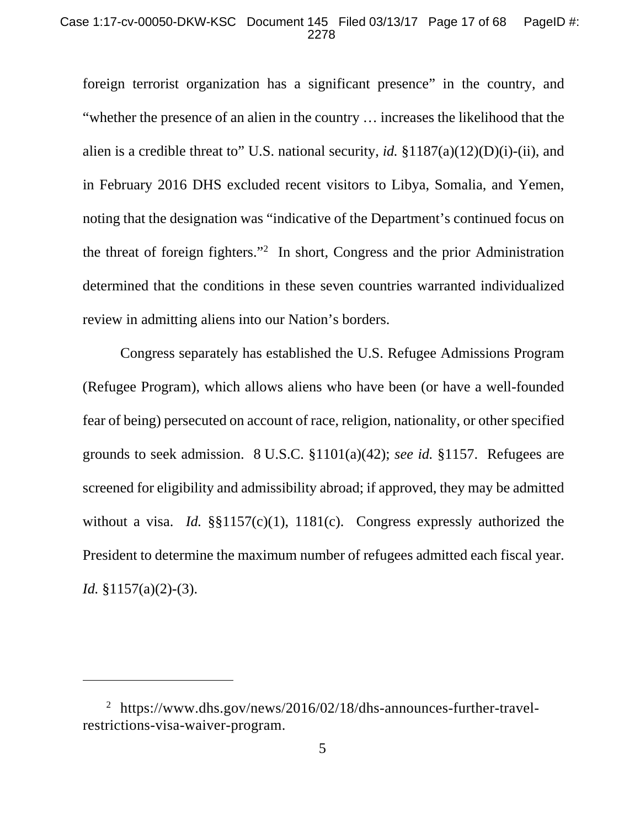#### Case 1:17-cv-00050-DKW-KSC Document 145 Filed 03/13/17 Page 17 of 68 PageID #: 2278

foreign terrorist organization has a significant presence" in the country, and "whether the presence of an alien in the country … increases the likelihood that the alien is a credible threat to" U.S. national security, *id.* §1187(a)(12)(D)(i)-(ii), and in February 2016 DHS excluded recent visitors to Libya, Somalia, and Yemen, noting that the designation was "indicative of the Department's continued focus on the threat of foreign fighters."2 In short, Congress and the prior Administration determined that the conditions in these seven countries warranted individualized review in admitting aliens into our Nation's borders.

Congress separately has established the U.S. Refugee Admissions Program (Refugee Program), which allows aliens who have been (or have a well-founded fear of being) persecuted on account of race, religion, nationality, or other specified grounds to seek admission. 8 U.S.C. §1101(a)(42); *see id.* §1157. Refugees are screened for eligibility and admissibility abroad; if approved, they may be admitted without a visa. *Id.* §§1157(c)(1), 1181(c). Congress expressly authorized the President to determine the maximum number of refugees admitted each fiscal year. *Id.* §1157(a)(2)-(3).

 $\overline{a}$ 

<sup>&</sup>lt;sup>2</sup> https://www.dhs.gov/news/2016/02/18/dhs-announces-further-travelrestrictions-visa-waiver-program.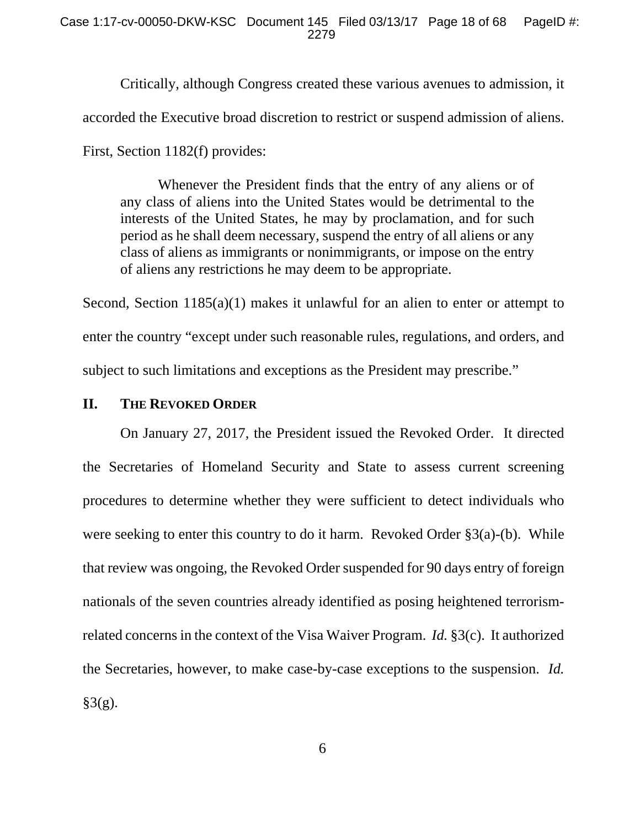Critically, although Congress created these various avenues to admission, it

accorded the Executive broad discretion to restrict or suspend admission of aliens.

First, Section 1182(f) provides:

 Whenever the President finds that the entry of any aliens or of any class of aliens into the United States would be detrimental to the interests of the United States, he may by proclamation, and for such period as he shall deem necessary, suspend the entry of all aliens or any class of aliens as immigrants or nonimmigrants, or impose on the entry of aliens any restrictions he may deem to be appropriate.

Second, Section 1185(a)(1) makes it unlawful for an alien to enter or attempt to enter the country "except under such reasonable rules, regulations, and orders, and subject to such limitations and exceptions as the President may prescribe."

### **II. THE REVOKED ORDER**

On January 27, 2017, the President issued the Revoked Order. It directed the Secretaries of Homeland Security and State to assess current screening procedures to determine whether they were sufficient to detect individuals who were seeking to enter this country to do it harm. Revoked Order §3(a)-(b). While that review was ongoing, the Revoked Order suspended for 90 days entry of foreign nationals of the seven countries already identified as posing heightened terrorismrelated concerns in the context of the Visa Waiver Program. *Id.* §3(c). It authorized the Secretaries, however, to make case-by-case exceptions to the suspension. *Id.*  $§3(g).$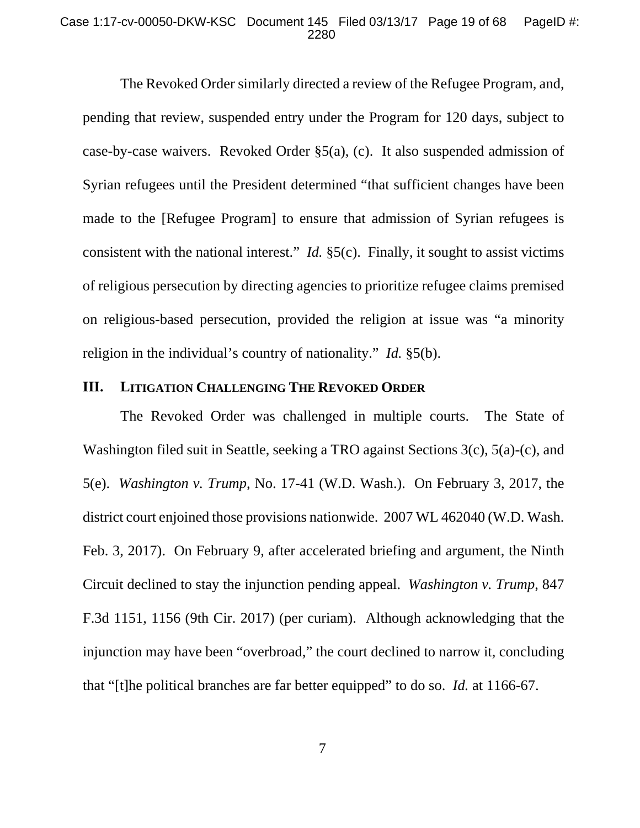#### Case 1:17-cv-00050-DKW-KSC Document 145 Filed 03/13/17 Page 19 of 68 PageID #: 2280

The Revoked Order similarly directed a review of the Refugee Program, and, pending that review, suspended entry under the Program for 120 days, subject to case-by-case waivers. Revoked Order §5(a), (c). It also suspended admission of Syrian refugees until the President determined "that sufficient changes have been made to the [Refugee Program] to ensure that admission of Syrian refugees is consistent with the national interest." *Id.* §5(c). Finally, it sought to assist victims of religious persecution by directing agencies to prioritize refugee claims premised on religious-based persecution, provided the religion at issue was "a minority religion in the individual's country of nationality." *Id.* §5(b).

### **III. LITIGATION CHALLENGING THE REVOKED ORDER**

The Revoked Order was challenged in multiple courts. The State of Washington filed suit in Seattle, seeking a TRO against Sections 3(c), 5(a)-(c), and 5(e). *Washington v. Trump*, No. 17-41 (W.D. Wash.). On February 3, 2017, the district court enjoined those provisions nationwide. 2007 WL 462040 (W.D. Wash. Feb. 3, 2017). On February 9, after accelerated briefing and argument, the Ninth Circuit declined to stay the injunction pending appeal. *Washington v. Trump*, 847 F.3d 1151, 1156 (9th Cir. 2017) (per curiam). Although acknowledging that the injunction may have been "overbroad," the court declined to narrow it, concluding that "[t]he political branches are far better equipped" to do so. *Id.* at 1166-67.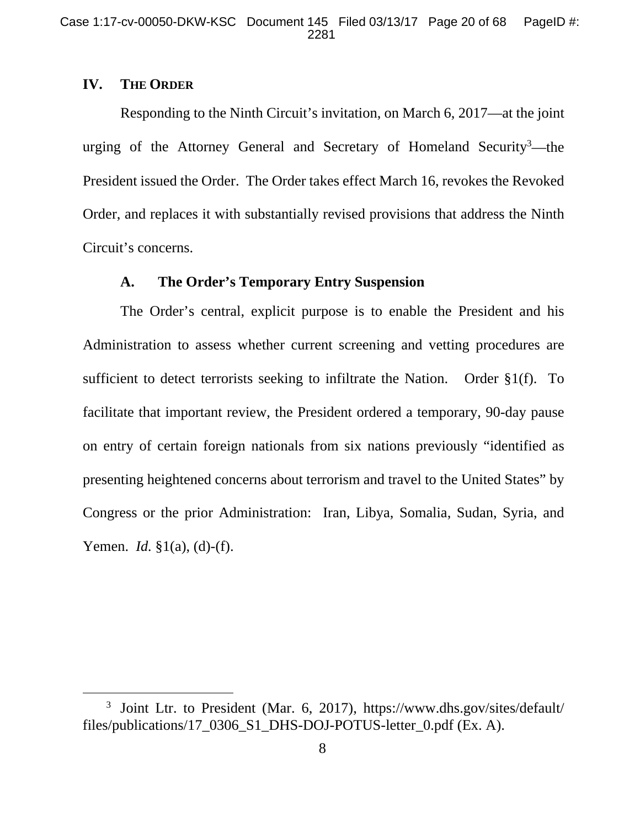# **IV. THE ORDER**

Responding to the Ninth Circuit's invitation, on March 6, 2017—at the joint urging of the Attorney General and Secretary of Homeland Security<sup>3</sup>—the President issued the Order. The Order takes effect March 16, revokes the Revoked Order, and replaces it with substantially revised provisions that address the Ninth Circuit's concerns.

### **A. The Order's Temporary Entry Suspension**

The Order's central, explicit purpose is to enable the President and his Administration to assess whether current screening and vetting procedures are sufficient to detect terrorists seeking to infiltrate the Nation. Order §1(f). To facilitate that important review, the President ordered a temporary, 90-day pause on entry of certain foreign nationals from six nations previously "identified as presenting heightened concerns about terrorism and travel to the United States" by Congress or the prior Administration: Iran, Libya, Somalia, Sudan, Syria, and Yemen. *Id.* §1(a), (d)-(f).

 <sup>3</sup>  $3$  Joint Ltr. to President (Mar. 6, 2017), https://www.dhs.gov/sites/default/ files/publications/17\_0306\_S1\_DHS-DOJ-POTUS-letter\_0.pdf (Ex. A).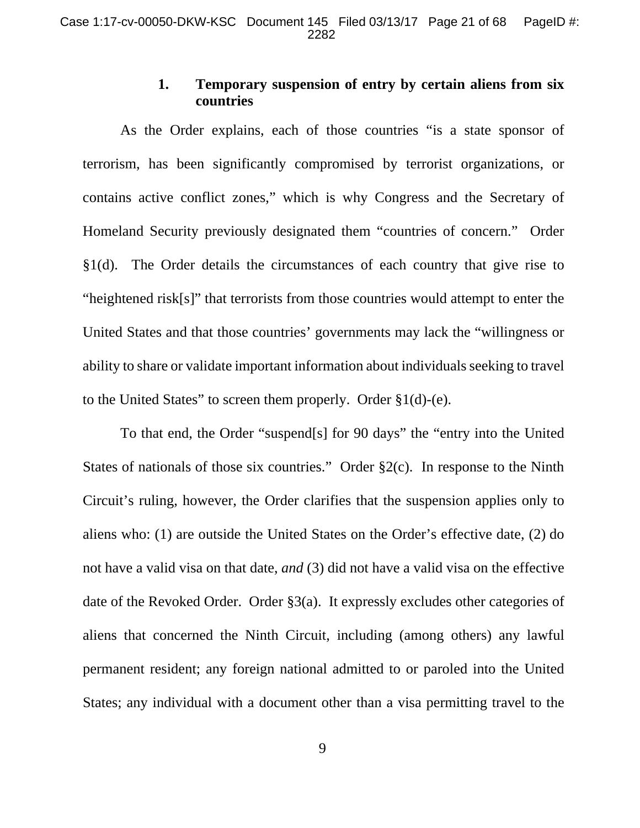# **1. Temporary suspension of entry by certain aliens from six countries**

As the Order explains, each of those countries "is a state sponsor of terrorism, has been significantly compromised by terrorist organizations, or contains active conflict zones," which is why Congress and the Secretary of Homeland Security previously designated them "countries of concern." Order §1(d). The Order details the circumstances of each country that give rise to "heightened risk[s]" that terrorists from those countries would attempt to enter the United States and that those countries' governments may lack the "willingness or ability to share or validate important information about individuals seeking to travel to the United States" to screen them properly. Order §1(d)-(e).

To that end, the Order "suspend[s] for 90 days" the "entry into the United States of nationals of those six countries." Order  $\S2(c)$ . In response to the Ninth Circuit's ruling, however, the Order clarifies that the suspension applies only to aliens who: (1) are outside the United States on the Order's effective date, (2) do not have a valid visa on that date, *and* (3) did not have a valid visa on the effective date of the Revoked Order. Order §3(a). It expressly excludes other categories of aliens that concerned the Ninth Circuit, including (among others) any lawful permanent resident; any foreign national admitted to or paroled into the United States; any individual with a document other than a visa permitting travel to the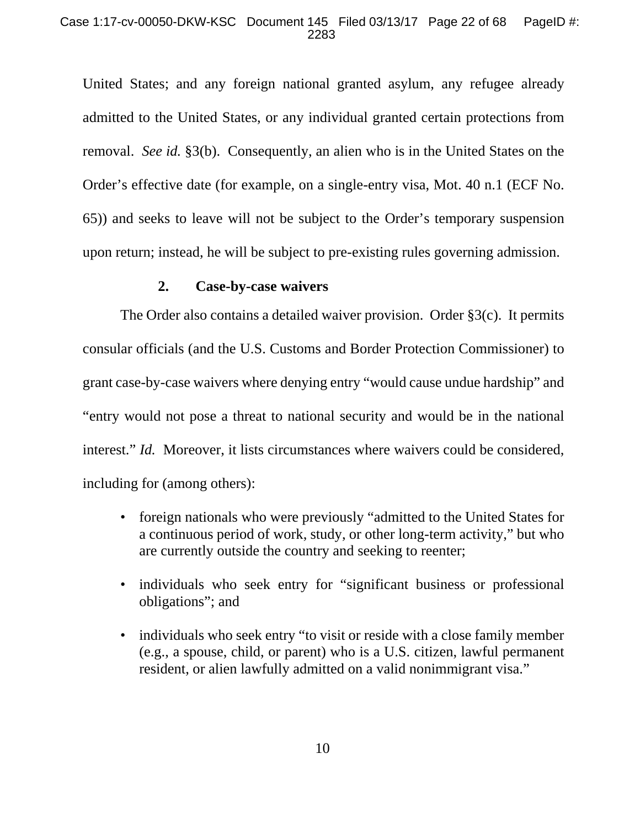#### Case 1:17-cv-00050-DKW-KSC Document 145 Filed 03/13/17 Page 22 of 68 PageID #: 2283

United States; and any foreign national granted asylum, any refugee already admitted to the United States, or any individual granted certain protections from removal. *See id.* §3(b). Consequently, an alien who is in the United States on the Order's effective date (for example, on a single-entry visa, Mot. 40 n.1 (ECF No. 65)) and seeks to leave will not be subject to the Order's temporary suspension upon return; instead, he will be subject to pre-existing rules governing admission.

### **2. Case-by-case waivers**

The Order also contains a detailed waiver provision. Order §3(c). It permits consular officials (and the U.S. Customs and Border Protection Commissioner) to grant case-by-case waivers where denying entry "would cause undue hardship" and "entry would not pose a threat to national security and would be in the national interest." *Id.* Moreover, it lists circumstances where waivers could be considered, including for (among others):

- foreign nationals who were previously "admitted to the United States for a continuous period of work, study, or other long-term activity," but who are currently outside the country and seeking to reenter;
- individuals who seek entry for "significant business or professional obligations"; and
- individuals who seek entry "to visit or reside with a close family member (e.g., a spouse, child, or parent) who is a U.S. citizen, lawful permanent resident, or alien lawfully admitted on a valid nonimmigrant visa."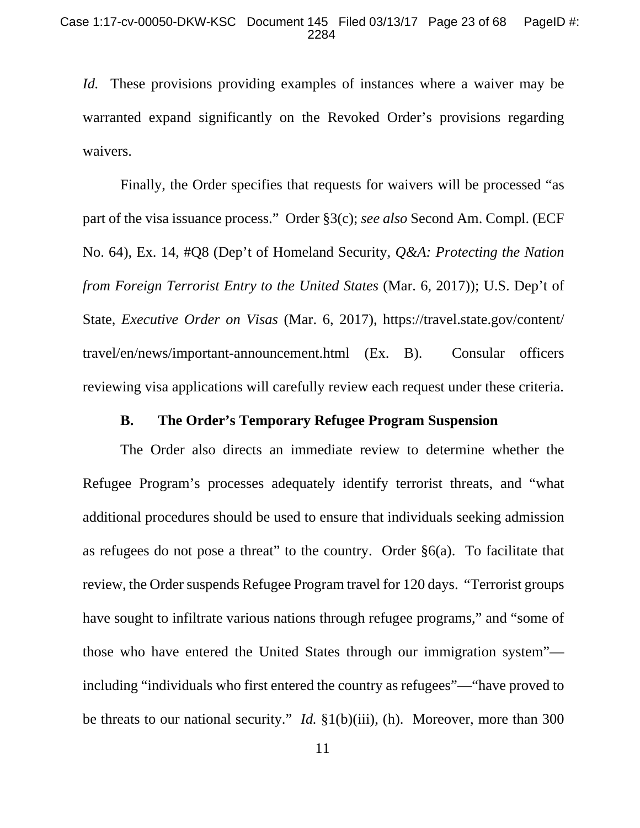*Id.* These provisions providing examples of instances where a waiver may be warranted expand significantly on the Revoked Order's provisions regarding waivers.

Finally, the Order specifies that requests for waivers will be processed "as part of the visa issuance process." Order §3(c); *see also* Second Am. Compl. (ECF No. 64), Ex. 14, #Q8 (Dep't of Homeland Security, *Q&A: Protecting the Nation from Foreign Terrorist Entry to the United States* (Mar. 6, 2017)); U.S. Dep't of State, *Executive Order on Visas* (Mar. 6, 2017), https://travel.state.gov/content/ travel/en/news/important-announcement.html (Ex. B). Consular officers reviewing visa applications will carefully review each request under these criteria.

### **B. The Order's Temporary Refugee Program Suspension**

The Order also directs an immediate review to determine whether the Refugee Program's processes adequately identify terrorist threats, and "what additional procedures should be used to ensure that individuals seeking admission as refugees do not pose a threat" to the country. Order  $\S6(a)$ . To facilitate that review, the Order suspends Refugee Program travel for 120 days. "Terrorist groups have sought to infiltrate various nations through refugee programs," and "some of those who have entered the United States through our immigration system" including "individuals who first entered the country as refugees"—"have proved to be threats to our national security." *Id.* §1(b)(iii), (h). Moreover, more than 300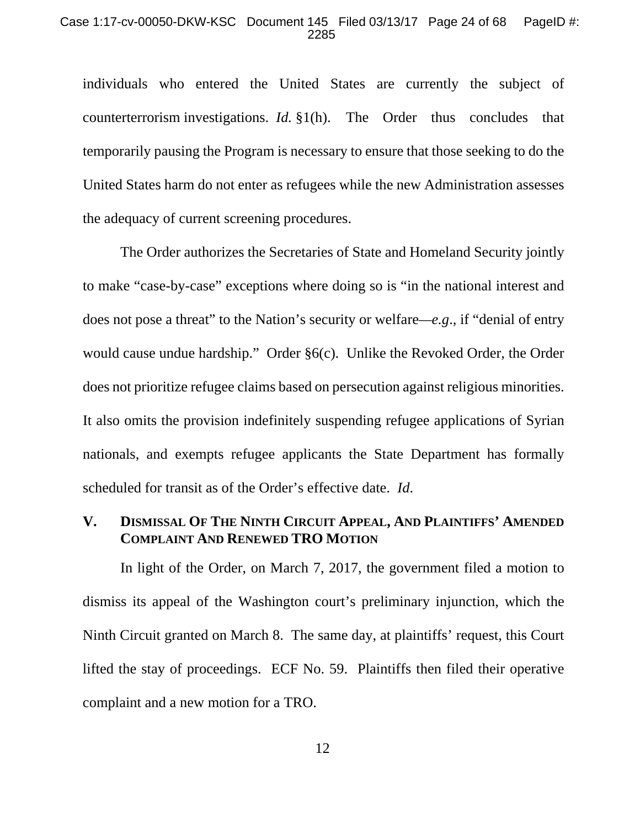individuals who entered the United States are currently the subject of counterterrorism investigations. *Id.* §1(h). The Order thus concludes that temporarily pausing the Program is necessary to ensure that those seeking to do the United States harm do not enter as refugees while the new Administration assesses the adequacy of current screening procedures.

The Order authorizes the Secretaries of State and Homeland Security jointly to make "case-by-case" exceptions where doing so is "in the national interest and does not pose a threat" to the Nation's security or welfare*—e.g*., if "denial of entry would cause undue hardship." Order §6(c). Unlike the Revoked Order, the Order does not prioritize refugee claims based on persecution against religious minorities. It also omits the provision indefinitely suspending refugee applications of Syrian nationals, and exempts refugee applicants the State Department has formally scheduled for transit as of the Order's effective date. *Id*.

## **V. DISMISSAL OF THE NINTH CIRCUIT APPEAL, AND PLAINTIFFS' AMENDED COMPLAINT AND RENEWED TRO MOTION**

In light of the Order, on March 7, 2017, the government filed a motion to dismiss its appeal of the Washington court's preliminary injunction, which the Ninth Circuit granted on March 8. The same day, at plaintiffs' request, this Court lifted the stay of proceedings. ECF No. 59. Plaintiffs then filed their operative complaint and a new motion for a TRO.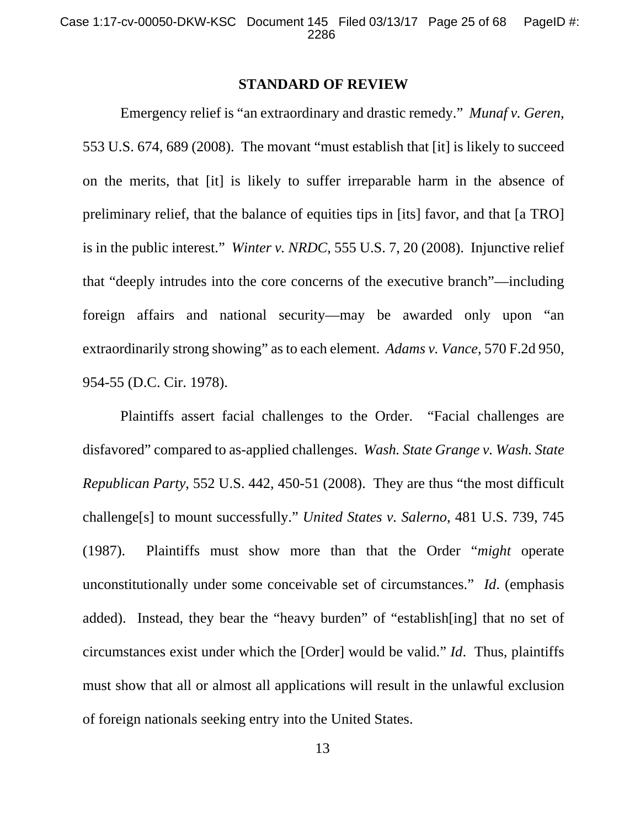### **STANDARD OF REVIEW**

Emergency relief is "an extraordinary and drastic remedy." *Munaf v. Geren*, 553 U.S. 674, 689 (2008). The movant "must establish that [it] is likely to succeed on the merits, that [it] is likely to suffer irreparable harm in the absence of preliminary relief, that the balance of equities tips in [its] favor, and that [a TRO] is in the public interest." *Winter v. NRDC*, 555 U.S. 7, 20 (2008). Injunctive relief that "deeply intrudes into the core concerns of the executive branch"—including foreign affairs and national security—may be awarded only upon "an extraordinarily strong showing" as to each element. *Adams v. Vance*, 570 F.2d 950, 954-55 (D.C. Cir. 1978).

Plaintiffs assert facial challenges to the Order. "Facial challenges are disfavored" compared to as-applied challenges. *Wash. State Grange v. Wash. State Republican Party*, 552 U.S. 442, 450-51 (2008). They are thus "the most difficult challenge[s] to mount successfully." *United States v. Salerno*, 481 U.S. 739, 745 (1987). Plaintiffs must show more than that the Order "*might* operate unconstitutionally under some conceivable set of circumstances." *Id*. (emphasis added). Instead, they bear the "heavy burden" of "establish[ing] that no set of circumstances exist under which the [Order] would be valid." *Id*. Thus, plaintiffs must show that all or almost all applications will result in the unlawful exclusion of foreign nationals seeking entry into the United States.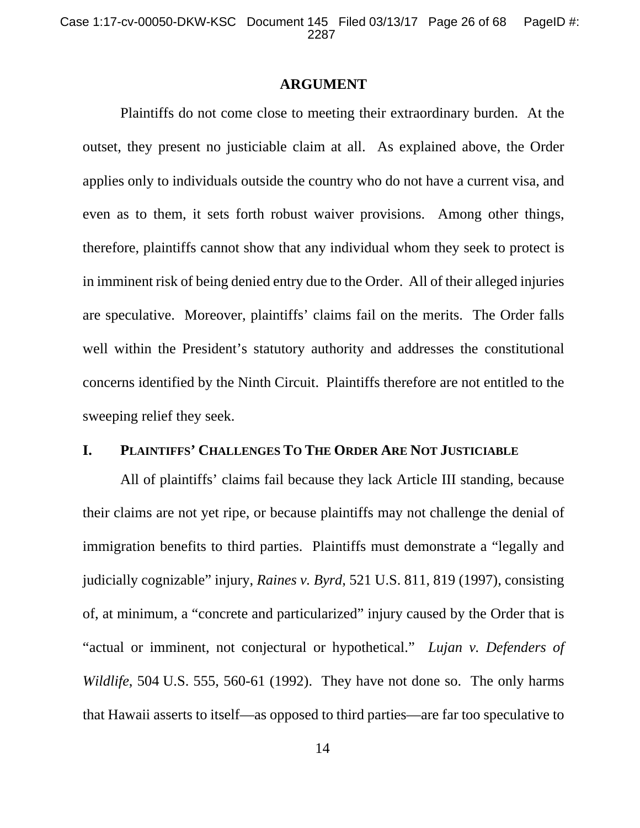### **ARGUMENT**

Plaintiffs do not come close to meeting their extraordinary burden. At the outset, they present no justiciable claim at all. As explained above, the Order applies only to individuals outside the country who do not have a current visa, and even as to them, it sets forth robust waiver provisions. Among other things, therefore, plaintiffs cannot show that any individual whom they seek to protect is in imminent risk of being denied entry due to the Order. All of their alleged injuries are speculative. Moreover, plaintiffs' claims fail on the merits. The Order falls well within the President's statutory authority and addresses the constitutional concerns identified by the Ninth Circuit. Plaintiffs therefore are not entitled to the sweeping relief they seek.

## **I. PLAINTIFFS' CHALLENGES TO THE ORDER ARE NOT JUSTICIABLE**

All of plaintiffs' claims fail because they lack Article III standing, because their claims are not yet ripe, or because plaintiffs may not challenge the denial of immigration benefits to third parties. Plaintiffs must demonstrate a "legally and judicially cognizable" injury, *Raines v. Byrd*, 521 U.S. 811, 819 (1997), consisting of, at minimum, a "concrete and particularized" injury caused by the Order that is "actual or imminent, not conjectural or hypothetical." *Lujan v. Defenders of Wildlife*, 504 U.S. 555, 560-61 (1992). They have not done so. The only harms that Hawaii asserts to itself—as opposed to third parties—are far too speculative to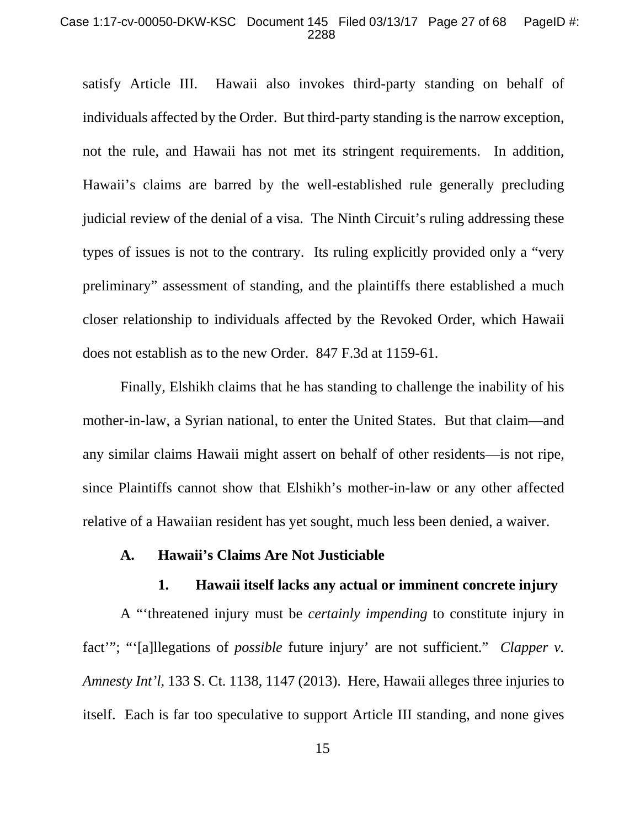#### Case 1:17-cv-00050-DKW-KSC Document 145 Filed 03/13/17 Page 27 of 68 PageID #: 2288

satisfy Article III. Hawaii also invokes third-party standing on behalf of individuals affected by the Order. But third-party standing is the narrow exception, not the rule, and Hawaii has not met its stringent requirements. In addition, Hawaii's claims are barred by the well-established rule generally precluding judicial review of the denial of a visa. The Ninth Circuit's ruling addressing these types of issues is not to the contrary. Its ruling explicitly provided only a "very preliminary" assessment of standing, and the plaintiffs there established a much closer relationship to individuals affected by the Revoked Order, which Hawaii does not establish as to the new Order. 847 F.3d at 1159-61.

Finally, Elshikh claims that he has standing to challenge the inability of his mother-in-law, a Syrian national, to enter the United States. But that claim—and any similar claims Hawaii might assert on behalf of other residents—is not ripe, since Plaintiffs cannot show that Elshikh's mother-in-law or any other affected relative of a Hawaiian resident has yet sought, much less been denied, a waiver.

#### **A. Hawaii's Claims Are Not Justiciable**

### **1. Hawaii itself lacks any actual or imminent concrete injury**

A "'threatened injury must be *certainly impending* to constitute injury in fact'"; "'[a]llegations of *possible* future injury' are not sufficient." *Clapper v. Amnesty Int'l*, 133 S. Ct. 1138, 1147 (2013). Here, Hawaii alleges three injuries to itself. Each is far too speculative to support Article III standing, and none gives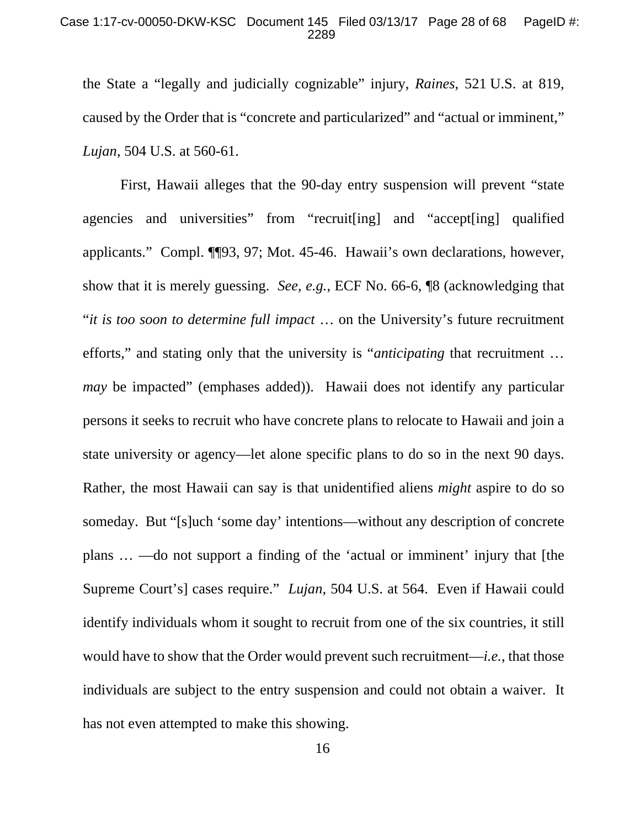the State a "legally and judicially cognizable" injury, *Raines*, 521 U.S. at 819, caused by the Order that is "concrete and particularized" and "actual or imminent," *Lujan*, 504 U.S. at 560-61.

First, Hawaii alleges that the 90-day entry suspension will prevent "state agencies and universities" from "recruit[ing] and "accept[ing] qualified applicants." Compl. ¶¶93, 97; Mot. 45-46. Hawaii's own declarations, however, show that it is merely guessing. *See*, *e.g.*, ECF No. 66-6, ¶8 (acknowledging that "*it is too soon to determine full impact* … on the University's future recruitment efforts," and stating only that the university is "*anticipating* that recruitment … *may* be impacted" (emphases added)). Hawaii does not identify any particular persons it seeks to recruit who have concrete plans to relocate to Hawaii and join a state university or agency—let alone specific plans to do so in the next 90 days. Rather, the most Hawaii can say is that unidentified aliens *might* aspire to do so someday. But "[s]uch 'some day' intentions—without any description of concrete plans … —do not support a finding of the 'actual or imminent' injury that [the Supreme Court's] cases require." *Lujan*, 504 U.S. at 564. Even if Hawaii could identify individuals whom it sought to recruit from one of the six countries, it still would have to show that the Order would prevent such recruitment—*i.e.*, that those individuals are subject to the entry suspension and could not obtain a waiver. It has not even attempted to make this showing.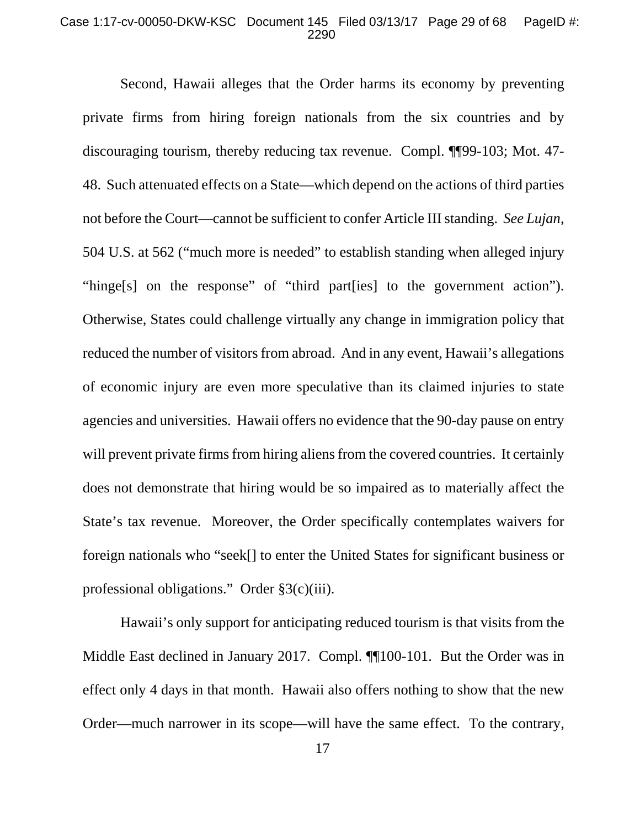#### Case 1:17-cv-00050-DKW-KSC Document 145 Filed 03/13/17 Page 29 of 68 PageID #: 2290

Second, Hawaii alleges that the Order harms its economy by preventing private firms from hiring foreign nationals from the six countries and by discouraging tourism, thereby reducing tax revenue. Compl. ¶¶99-103; Mot. 47- 48. Such attenuated effects on a State—which depend on the actions of third parties not before the Court—cannot be sufficient to confer Article III standing. *See Lujan*, 504 U.S. at 562 ("much more is needed" to establish standing when alleged injury "hinge[s] on the response" of "third part[ies] to the government action"). Otherwise, States could challenge virtually any change in immigration policy that reduced the number of visitors from abroad. And in any event, Hawaii's allegations of economic injury are even more speculative than its claimed injuries to state agencies and universities. Hawaii offers no evidence that the 90-day pause on entry will prevent private firms from hiring aliens from the covered countries. It certainly does not demonstrate that hiring would be so impaired as to materially affect the State's tax revenue. Moreover, the Order specifically contemplates waivers for foreign nationals who "seek[] to enter the United States for significant business or professional obligations." Order §3(c)(iii).

Hawaii's only support for anticipating reduced tourism is that visits from the Middle East declined in January 2017. Compl. ¶[100-101. But the Order was in effect only 4 days in that month. Hawaii also offers nothing to show that the new Order—much narrower in its scope—will have the same effect. To the contrary,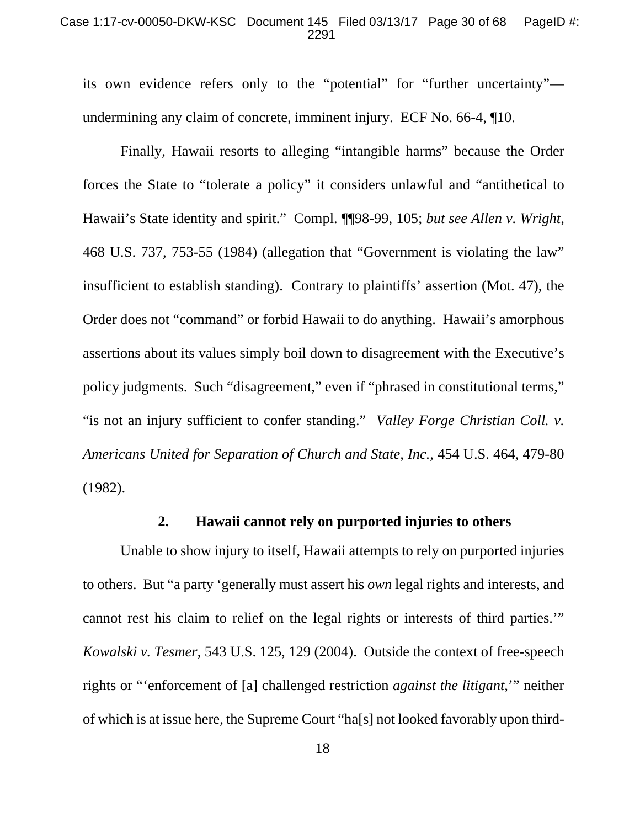its own evidence refers only to the "potential" for "further uncertainty" undermining any claim of concrete, imminent injury. ECF No. 66-4, ¶10.

Finally, Hawaii resorts to alleging "intangible harms" because the Order forces the State to "tolerate a policy" it considers unlawful and "antithetical to Hawaii's State identity and spirit." Compl. ¶¶98-99, 105; *but see Allen v. Wright*, 468 U.S. 737, 753-55 (1984) (allegation that "Government is violating the law" insufficient to establish standing). Contrary to plaintiffs' assertion (Mot. 47), the Order does not "command" or forbid Hawaii to do anything. Hawaii's amorphous assertions about its values simply boil down to disagreement with the Executive's policy judgments. Such "disagreement," even if "phrased in constitutional terms," "is not an injury sufficient to confer standing." *Valley Forge Christian Coll. v. Americans United for Separation of Church and State, Inc.*, 454 U.S. 464, 479-80 (1982).

## **2. Hawaii cannot rely on purported injuries to others**

Unable to show injury to itself, Hawaii attempts to rely on purported injuries to others. But "a party 'generally must assert his *own* legal rights and interests, and cannot rest his claim to relief on the legal rights or interests of third parties.'" *Kowalski v. Tesmer*, 543 U.S. 125, 129 (2004). Outside the context of free-speech rights or "'enforcement of [a] challenged restriction *against the litigant*,'" neither of which is at issue here, the Supreme Court "ha[s] not looked favorably upon third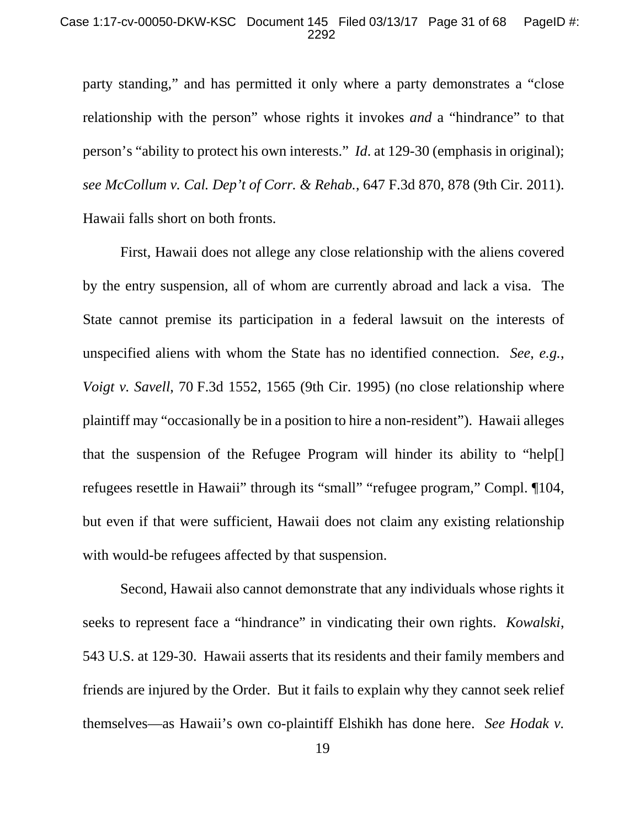party standing," and has permitted it only where a party demonstrates a "close relationship with the person" whose rights it invokes *and* a "hindrance" to that person's "ability to protect his own interests." *Id*. at 129-30 (emphasis in original); *see McCollum v. Cal. Dep't of Corr. & Rehab.*, 647 F.3d 870, 878 (9th Cir. 2011). Hawaii falls short on both fronts.

First, Hawaii does not allege any close relationship with the aliens covered by the entry suspension, all of whom are currently abroad and lack a visa. The State cannot premise its participation in a federal lawsuit on the interests of unspecified aliens with whom the State has no identified connection. *See*, *e.g.*, *Voigt v. Savell*, 70 F.3d 1552, 1565 (9th Cir. 1995) (no close relationship where plaintiff may "occasionally be in a position to hire a non-resident"). Hawaii alleges that the suspension of the Refugee Program will hinder its ability to "help[] refugees resettle in Hawaii" through its "small" "refugee program," Compl. ¶104, but even if that were sufficient, Hawaii does not claim any existing relationship with would-be refugees affected by that suspension.

Second, Hawaii also cannot demonstrate that any individuals whose rights it seeks to represent face a "hindrance" in vindicating their own rights. *Kowalski*, 543 U.S. at 129-30. Hawaii asserts that its residents and their family members and friends are injured by the Order. But it fails to explain why they cannot seek relief themselves—as Hawaii's own co-plaintiff Elshikh has done here. *See Hodak v.*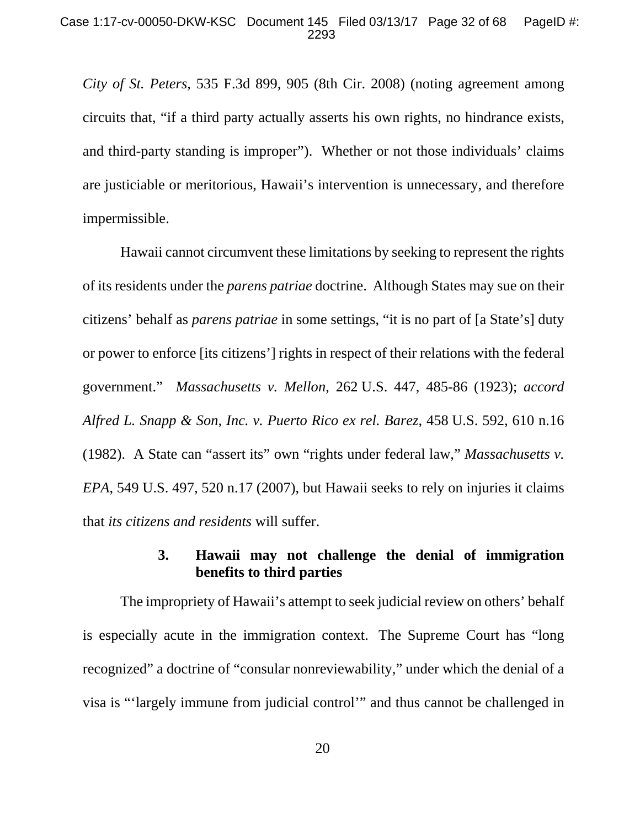*City of St. Peters*, 535 F.3d 899, 905 (8th Cir. 2008) (noting agreement among circuits that, "if a third party actually asserts his own rights, no hindrance exists, and third-party standing is improper"). Whether or not those individuals' claims are justiciable or meritorious, Hawaii's intervention is unnecessary, and therefore impermissible.

Hawaii cannot circumvent these limitations by seeking to represent the rights of its residents under the *parens patriae* doctrine. Although States may sue on their citizens' behalf as *parens patriae* in some settings, "it is no part of [a State's] duty or power to enforce [its citizens'] rights in respect of their relations with the federal government." *Massachusetts v. Mellon*, 262 U.S. 447, 485-86 (1923); *accord Alfred L. Snapp & Son, Inc. v. Puerto Rico ex rel. Barez*, 458 U.S. 592, 610 n.16 (1982). A State can "assert its" own "rights under federal law," *Massachusetts v. EPA*, 549 U.S. 497, 520 n.17 (2007), but Hawaii seeks to rely on injuries it claims that *its citizens and residents* will suffer.

# **3. Hawaii may not challenge the denial of immigration benefits to third parties**

The impropriety of Hawaii's attempt to seek judicial review on others' behalf is especially acute in the immigration context. The Supreme Court has "long recognized" a doctrine of "consular nonreviewability," under which the denial of a visa is "'largely immune from judicial control'" and thus cannot be challenged in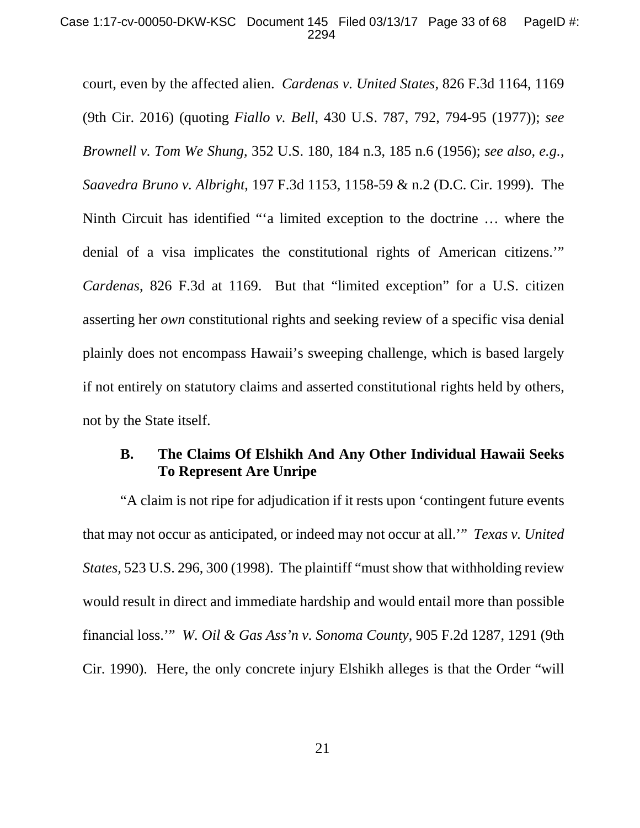court, even by the affected alien. *Cardenas v. United States*, 826 F.3d 1164, 1169 (9th Cir. 2016) (quoting *Fiallo v. Bell*, 430 U.S. 787, 792, 794-95 (1977)); *see Brownell v. Tom We Shung*, 352 U.S. 180, 184 n.3, 185 n.6 (1956); *see also, e.g.*, *Saavedra Bruno v. Albright*, 197 F.3d 1153, 1158-59 & n.2 (D.C. Cir. 1999). The Ninth Circuit has identified "'a limited exception to the doctrine … where the denial of a visa implicates the constitutional rights of American citizens.'" *Cardenas*, 826 F.3d at 1169. But that "limited exception" for a U.S. citizen asserting her *own* constitutional rights and seeking review of a specific visa denial plainly does not encompass Hawaii's sweeping challenge, which is based largely if not entirely on statutory claims and asserted constitutional rights held by others, not by the State itself.

## **B. The Claims Of Elshikh And Any Other Individual Hawaii Seeks To Represent Are Unripe**

"A claim is not ripe for adjudication if it rests upon 'contingent future events that may not occur as anticipated, or indeed may not occur at all.'" *Texas v. United States*, 523 U.S. 296, 300 (1998). The plaintiff "must show that withholding review would result in direct and immediate hardship and would entail more than possible financial loss.'" *W. Oil & Gas Ass'n v. Sonoma County*, 905 F.2d 1287, 1291 (9th Cir. 1990). Here, the only concrete injury Elshikh alleges is that the Order "will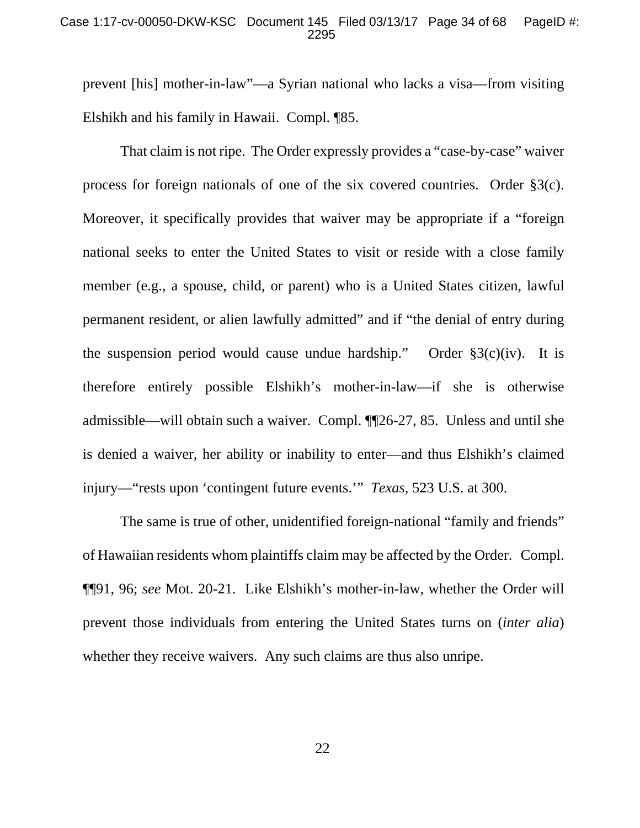#### Case 1:17-cv-00050-DKW-KSC Document 145 Filed 03/13/17 Page 34 of 68 PageID #: 2295

prevent [his] mother-in-law"—a Syrian national who lacks a visa—from visiting Elshikh and his family in Hawaii. Compl. ¶85.

That claim is not ripe. The Order expressly provides a "case-by-case" waiver process for foreign nationals of one of the six covered countries. Order §3(c). Moreover, it specifically provides that waiver may be appropriate if a "foreign national seeks to enter the United States to visit or reside with a close family member (e.g., a spouse, child, or parent) who is a United States citizen, lawful permanent resident, or alien lawfully admitted" and if "the denial of entry during the suspension period would cause undue hardship." Order  $\S3(c)(iv)$ . It is therefore entirely possible Elshikh's mother-in-law—if she is otherwise admissible—will obtain such a waiver. Compl. ¶¶26-27, 85. Unless and until she is denied a waiver, her ability or inability to enter—and thus Elshikh's claimed injury—"rests upon 'contingent future events.'" *Texas*, 523 U.S. at 300.

The same is true of other, unidentified foreign-national "family and friends" of Hawaiian residents whom plaintiffs claim may be affected by the Order. Compl. ¶¶91, 96; *see* Mot. 20-21. Like Elshikh's mother-in-law, whether the Order will prevent those individuals from entering the United States turns on (*inter alia*) whether they receive waivers. Any such claims are thus also unripe.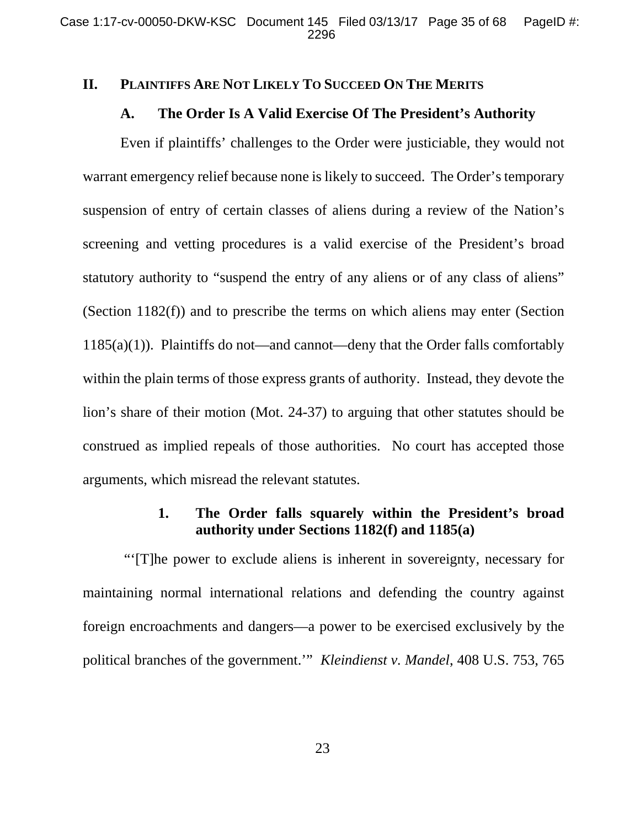### **II. PLAINTIFFS ARE NOT LIKELY TO SUCCEED ON THE MERITS**

### **A. The Order Is A Valid Exercise Of The President's Authority**

Even if plaintiffs' challenges to the Order were justiciable, they would not warrant emergency relief because none is likely to succeed. The Order's temporary suspension of entry of certain classes of aliens during a review of the Nation's screening and vetting procedures is a valid exercise of the President's broad statutory authority to "suspend the entry of any aliens or of any class of aliens" (Section 1182(f)) and to prescribe the terms on which aliens may enter (Section  $1185(a)(1)$ ). Plaintiffs do not—and cannot—deny that the Order falls comfortably within the plain terms of those express grants of authority. Instead, they devote the lion's share of their motion (Mot. 24-37) to arguing that other statutes should be construed as implied repeals of those authorities. No court has accepted those arguments, which misread the relevant statutes.

## **1. The Order falls squarely within the President's broad authority under Sections 1182(f) and 1185(a)**

 "'[T]he power to exclude aliens is inherent in sovereignty, necessary for maintaining normal international relations and defending the country against foreign encroachments and dangers—a power to be exercised exclusively by the political branches of the government.'" *Kleindienst v. Mandel*, 408 U.S. 753, 765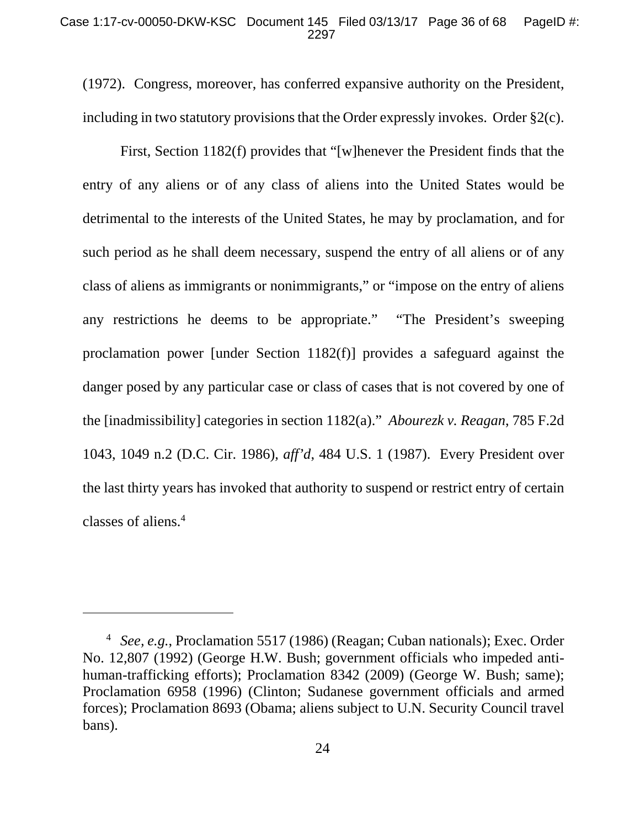(1972). Congress, moreover, has conferred expansive authority on the President, including in two statutory provisions that the Order expressly invokes. Order §2(c).

First, Section 1182(f) provides that "[w]henever the President finds that the entry of any aliens or of any class of aliens into the United States would be detrimental to the interests of the United States, he may by proclamation, and for such period as he shall deem necessary, suspend the entry of all aliens or of any class of aliens as immigrants or nonimmigrants," or "impose on the entry of aliens any restrictions he deems to be appropriate." "The President's sweeping proclamation power [under Section 1182(f)] provides a safeguard against the danger posed by any particular case or class of cases that is not covered by one of the [inadmissibility] categories in section 1182(a)." *Abourezk v. Reagan*, 785 F.2d 1043, 1049 n.2 (D.C. Cir. 1986), *aff'd*, 484 U.S. 1 (1987). Every President over the last thirty years has invoked that authority to suspend or restrict entry of certain classes of aliens.4

 $\overline{a}$ 

<sup>4</sup>  *See, e.g.*, Proclamation 5517 (1986) (Reagan; Cuban nationals); Exec. Order No. 12,807 (1992) (George H.W. Bush; government officials who impeded antihuman-trafficking efforts); Proclamation 8342 (2009) (George W. Bush; same); Proclamation 6958 (1996) (Clinton; Sudanese government officials and armed forces); Proclamation 8693 (Obama; aliens subject to U.N. Security Council travel bans).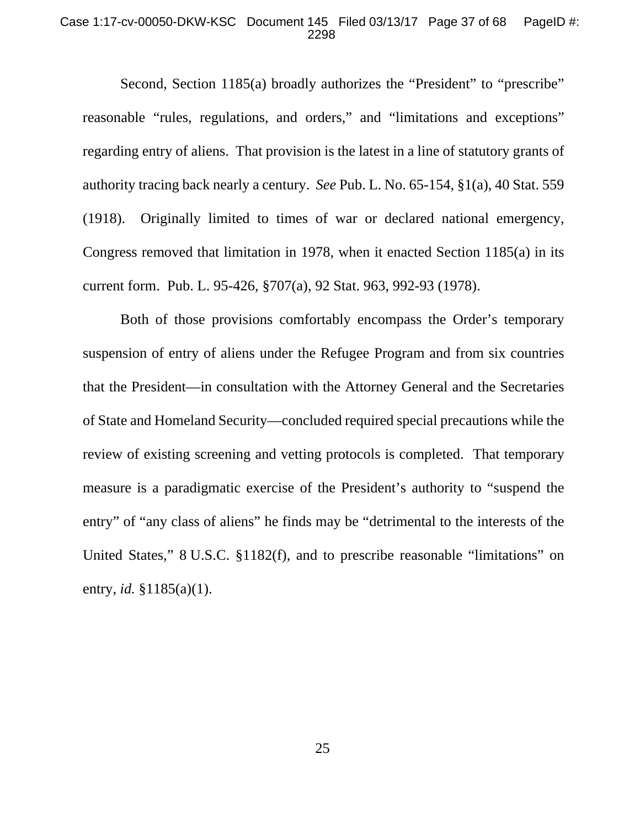#### Case 1:17-cv-00050-DKW-KSC Document 145 Filed 03/13/17 Page 37 of 68 PageID #: 2298

Second, Section 1185(a) broadly authorizes the "President" to "prescribe" reasonable "rules, regulations, and orders," and "limitations and exceptions" regarding entry of aliens. That provision is the latest in a line of statutory grants of authority tracing back nearly a century. *See* Pub. L. No. 65-154, §1(a), 40 Stat. 559 (1918). Originally limited to times of war or declared national emergency, Congress removed that limitation in 1978, when it enacted Section 1185(a) in its current form. Pub. L. 95-426, §707(a), 92 Stat. 963, 992-93 (1978).

Both of those provisions comfortably encompass the Order's temporary suspension of entry of aliens under the Refugee Program and from six countries that the President—in consultation with the Attorney General and the Secretaries of State and Homeland Security—concluded required special precautions while the review of existing screening and vetting protocols is completed. That temporary measure is a paradigmatic exercise of the President's authority to "suspend the entry" of "any class of aliens" he finds may be "detrimental to the interests of the United States," 8 U.S.C. §1182(f), and to prescribe reasonable "limitations" on entry, *id.* §1185(a)(1).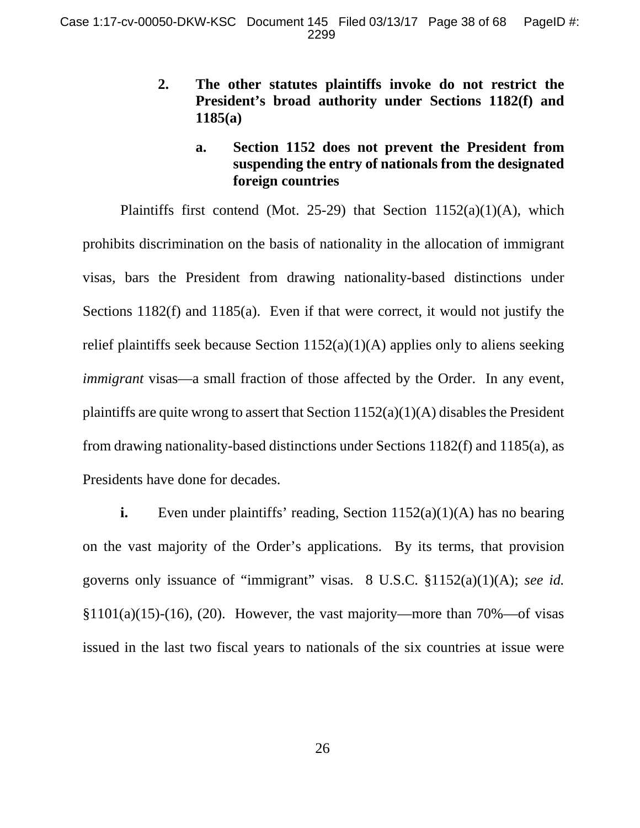- **2. The other statutes plaintiffs invoke do not restrict the President's broad authority under Sections 1182(f) and 1185(a)** 
	- **a. Section 1152 does not prevent the President from suspending the entry of nationals from the designated foreign countries**

Plaintiffs first contend (Mot. 25-29) that Section  $1152(a)(1)(A)$ , which prohibits discrimination on the basis of nationality in the allocation of immigrant visas, bars the President from drawing nationality-based distinctions under Sections 1182(f) and 1185(a). Even if that were correct, it would not justify the relief plaintiffs seek because Section  $1152(a)(1)(A)$  applies only to aliens seeking *immigrant* visas—a small fraction of those affected by the Order. In any event, plaintiffs are quite wrong to assert that Section  $1152(a)(1)(A)$  disables the President from drawing nationality-based distinctions under Sections 1182(f) and 1185(a), as Presidents have done for decades.

**i.** Even under plaintiffs' reading, Section 1152(a)(1)(A) has no bearing on the vast majority of the Order's applications. By its terms, that provision governs only issuance of "immigrant" visas. 8 U.S.C. §1152(a)(1)(A); *see id.*  $§1101(a)(15)-(16)$ , (20). However, the vast majority—more than 70%—of visas issued in the last two fiscal years to nationals of the six countries at issue were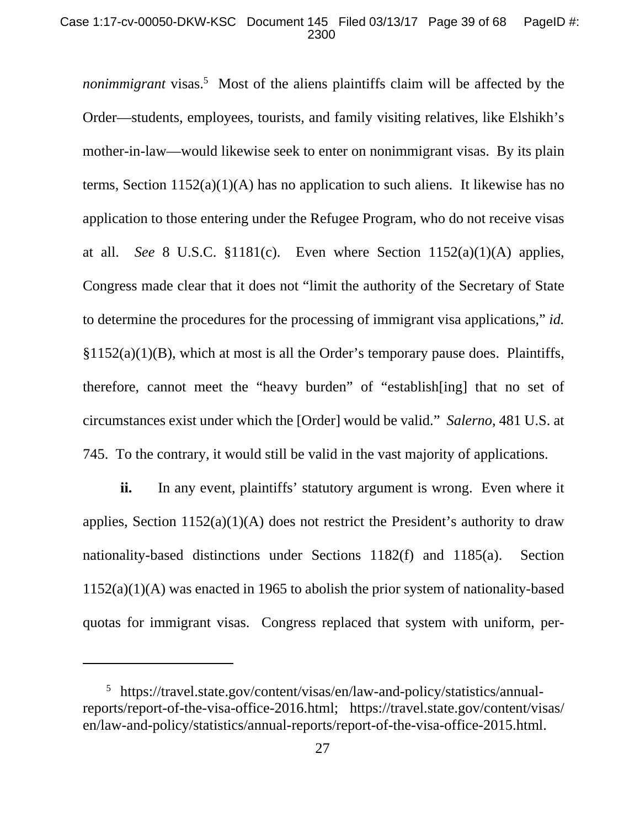#### Case 1:17-cv-00050-DKW-KSC Document 145 Filed 03/13/17 Page 39 of 68 PageID #: 2300

*nonimmigrant* visas.<sup>5</sup> Most of the aliens plaintiffs claim will be affected by the Order—students, employees, tourists, and family visiting relatives, like Elshikh's mother-in-law—would likewise seek to enter on nonimmigrant visas. By its plain terms, Section 1152(a)(1)(A) has no application to such aliens. It likewise has no application to those entering under the Refugee Program, who do not receive visas at all. *See* 8 U.S.C. §1181(c). Even where Section 1152(a)(1)(A) applies, Congress made clear that it does not "limit the authority of the Secretary of State to determine the procedures for the processing of immigrant visa applications," *id.*   $§1152(a)(1)(B)$ , which at most is all the Order's temporary pause does. Plaintiffs, therefore, cannot meet the "heavy burden" of "establish[ing] that no set of circumstances exist under which the [Order] would be valid." *Salerno*, 481 U.S. at 745. To the contrary, it would still be valid in the vast majority of applications.

**ii.** In any event, plaintiffs' statutory argument is wrong. Even where it applies, Section  $1152(a)(1)(A)$  does not restrict the President's authority to draw nationality-based distinctions under Sections 1182(f) and 1185(a). Section 1152(a)(1)(A) was enacted in 1965 to abolish the prior system of nationality-based quotas for immigrant visas. Congress replaced that system with uniform, per-

 $\overline{a}$ 

<sup>5</sup> https://travel.state.gov/content/visas/en/law-and-policy/statistics/annualreports/report-of-the-visa-office-2016.html; https://travel.state.gov/content/visas/ en/law-and-policy/statistics/annual-reports/report-of-the-visa-office-2015.html.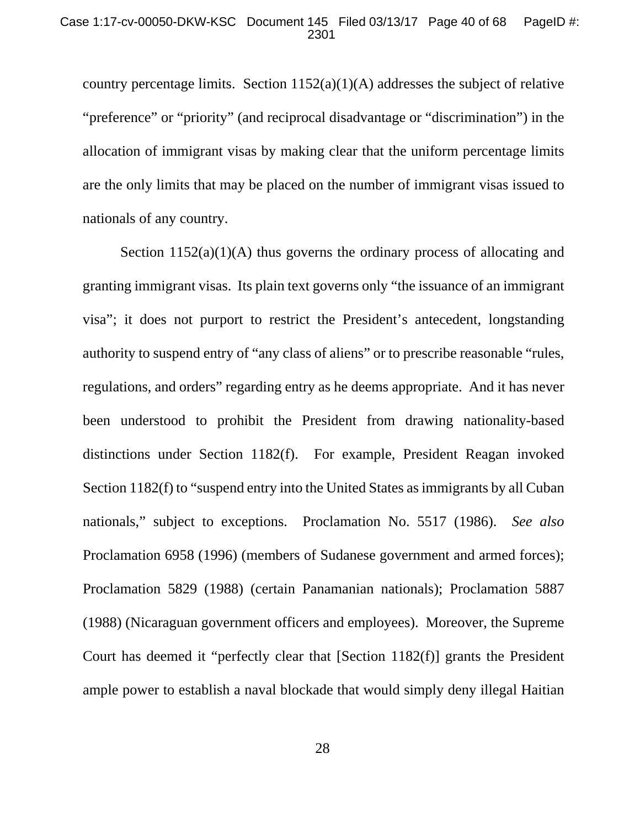country percentage limits. Section  $1152(a)(1)(A)$  addresses the subject of relative "preference" or "priority" (and reciprocal disadvantage or "discrimination") in the allocation of immigrant visas by making clear that the uniform percentage limits are the only limits that may be placed on the number of immigrant visas issued to nationals of any country.

Section  $1152(a)(1)(A)$  thus governs the ordinary process of allocating and granting immigrant visas. Its plain text governs only "the issuance of an immigrant visa"; it does not purport to restrict the President's antecedent, longstanding authority to suspend entry of "any class of aliens" or to prescribe reasonable "rules, regulations, and orders" regarding entry as he deems appropriate. And it has never been understood to prohibit the President from drawing nationality-based distinctions under Section 1182(f). For example, President Reagan invoked Section 1182(f) to "suspend entry into the United States as immigrants by all Cuban nationals," subject to exceptions. Proclamation No. 5517 (1986). *See also*  Proclamation 6958 (1996) (members of Sudanese government and armed forces); Proclamation 5829 (1988) (certain Panamanian nationals); Proclamation 5887 (1988) (Nicaraguan government officers and employees). Moreover, the Supreme Court has deemed it "perfectly clear that [Section 1182(f)] grants the President ample power to establish a naval blockade that would simply deny illegal Haitian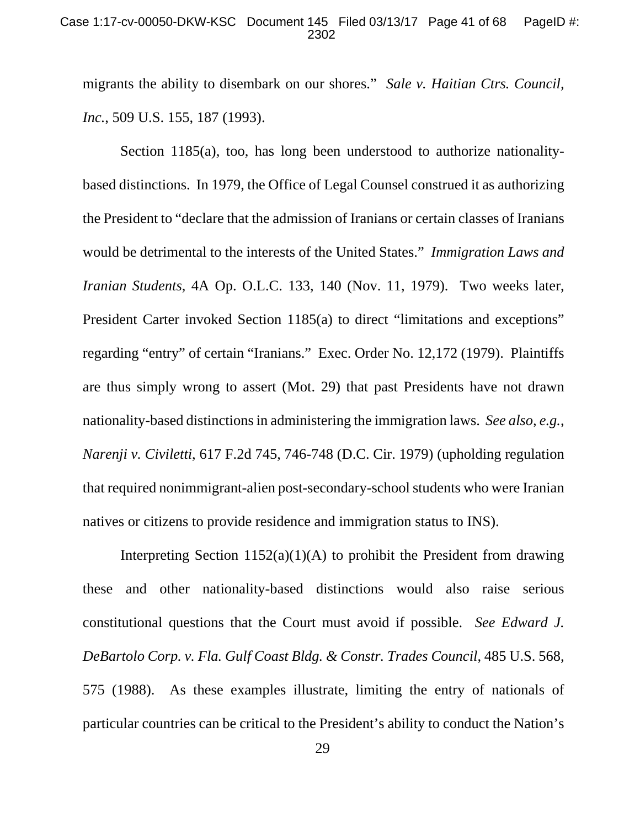migrants the ability to disembark on our shores." *Sale v. Haitian Ctrs. Council, Inc.*, 509 U.S. 155, 187 (1993).

Section 1185(a), too, has long been understood to authorize nationalitybased distinctions. In 1979, the Office of Legal Counsel construed it as authorizing the President to "declare that the admission of Iranians or certain classes of Iranians would be detrimental to the interests of the United States." *Immigration Laws and Iranian Students*, 4A Op. O.L.C. 133, 140 (Nov. 11, 1979). Two weeks later, President Carter invoked Section 1185(a) to direct "limitations and exceptions" regarding "entry" of certain "Iranians." Exec. Order No. 12,172 (1979). Plaintiffs are thus simply wrong to assert (Mot. 29) that past Presidents have not drawn nationality-based distinctions in administering the immigration laws. *See also, e.g.*, *Narenji v. Civiletti*, 617 F.2d 745, 746-748 (D.C. Cir. 1979) (upholding regulation that required nonimmigrant-alien post-secondary-school students who were Iranian natives or citizens to provide residence and immigration status to INS).

Interpreting Section  $1152(a)(1)(A)$  to prohibit the President from drawing these and other nationality-based distinctions would also raise serious constitutional questions that the Court must avoid if possible. *See Edward J. DeBartolo Corp. v. Fla. Gulf Coast Bldg. & Constr. Trades Council*, 485 U.S. 568, 575 (1988). As these examples illustrate, limiting the entry of nationals of particular countries can be critical to the President's ability to conduct the Nation's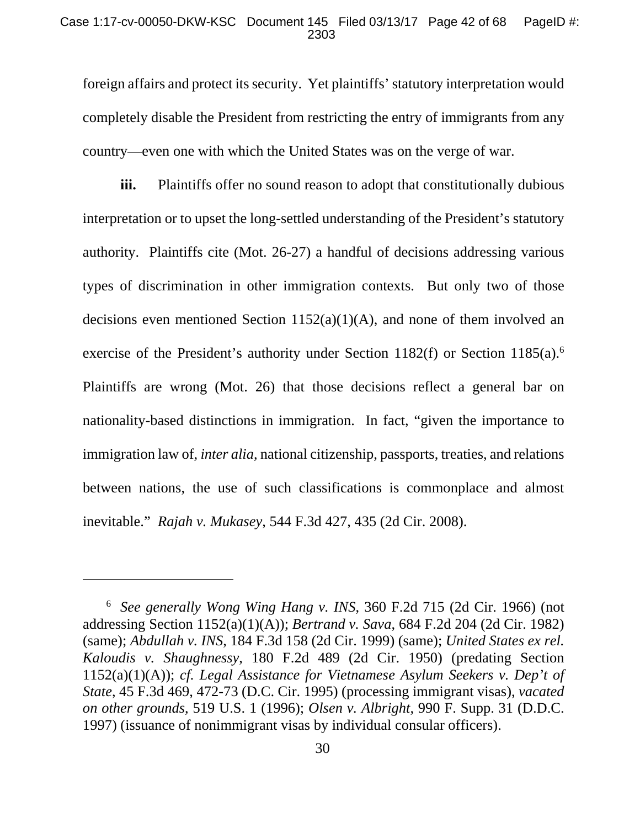#### Case 1:17-cv-00050-DKW-KSC Document 145 Filed 03/13/17 Page 42 of 68 PageID #: 2303

foreign affairs and protect its security. Yet plaintiffs' statutory interpretation would completely disable the President from restricting the entry of immigrants from any country—even one with which the United States was on the verge of war.

**iii.** Plaintiffs offer no sound reason to adopt that constitutionally dubious interpretation or to upset the long-settled understanding of the President's statutory authority. Plaintiffs cite (Mot. 26-27) a handful of decisions addressing various types of discrimination in other immigration contexts. But only two of those decisions even mentioned Section  $1152(a)(1)(A)$ , and none of them involved an exercise of the President's authority under Section 1182(f) or Section 1185(a).<sup>6</sup> Plaintiffs are wrong (Mot. 26) that those decisions reflect a general bar on nationality-based distinctions in immigration. In fact, "given the importance to immigration law of, *inter alia*, national citizenship, passports, treaties, and relations between nations, the use of such classifications is commonplace and almost inevitable." *Rajah v. Mukasey*, 544 F.3d 427, 435 (2d Cir. 2008).

 $\overline{a}$ 

<sup>6</sup> *See generally Wong Wing Hang v. INS*, 360 F.2d 715 (2d Cir. 1966) (not addressing Section 1152(a)(1)(A)); *Bertrand v. Sava*, 684 F.2d 204 (2d Cir. 1982) (same); *Abdullah v. INS*, 184 F.3d 158 (2d Cir. 1999) (same); *United States ex rel. Kaloudis v. Shaughnessy*, 180 F.2d 489 (2d Cir. 1950) (predating Section 1152(a)(1)(A)); *cf. Legal Assistance for Vietnamese Asylum Seekers v. Dep't of State*, 45 F.3d 469, 472-73 (D.C. Cir. 1995) (processing immigrant visas), *vacated on other grounds*, 519 U.S. 1 (1996); *Olsen v. Albright*, 990 F. Supp. 31 (D.D.C. 1997) (issuance of nonimmigrant visas by individual consular officers).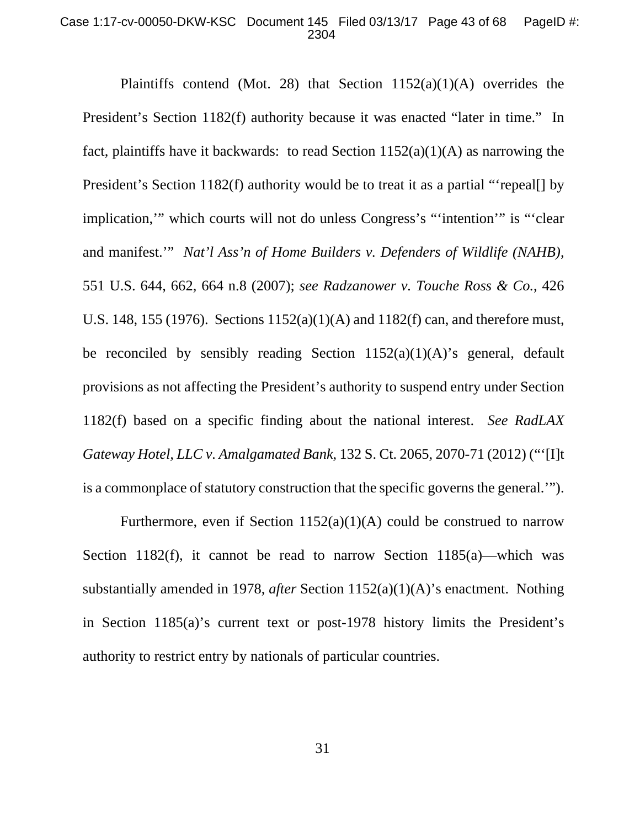#### Case 1:17-cv-00050-DKW-KSC Document 145 Filed 03/13/17 Page 43 of 68 PageID #: 2304

Plaintiffs contend (Mot. 28) that Section  $1152(a)(1)(A)$  overrides the President's Section 1182(f) authority because it was enacted "later in time." In fact, plaintiffs have it backwards: to read Section  $1152(a)(1)(A)$  as narrowing the President's Section 1182(f) authority would be to treat it as a partial "repeal. by implication,'" which courts will not do unless Congress's "'intention'" is "'clear and manifest.'" *Nat'l Ass'n of Home Builders v. Defenders of Wildlife (NAHB)*, 551 U.S. 644, 662, 664 n.8 (2007); *see Radzanower v. Touche Ross & Co.*, 426 U.S. 148, 155 (1976). Sections 1152(a)(1)(A) and 1182(f) can, and therefore must, be reconciled by sensibly reading Section  $1152(a)(1)(A)$ 's general, default provisions as not affecting the President's authority to suspend entry under Section 1182(f) based on a specific finding about the national interest. *See RadLAX Gateway Hotel, LLC v. Amalgamated Bank*, 132 S. Ct. 2065, 2070-71 (2012) ("'[I]t is a commonplace of statutory construction that the specific governs the general.'").

Furthermore, even if Section  $1152(a)(1)(A)$  could be construed to narrow Section 1182(f), it cannot be read to narrow Section 1185(a)—which was substantially amended in 1978, *after* Section 1152(a)(1)(A)'s enactment. Nothing in Section 1185(a)'s current text or post-1978 history limits the President's authority to restrict entry by nationals of particular countries.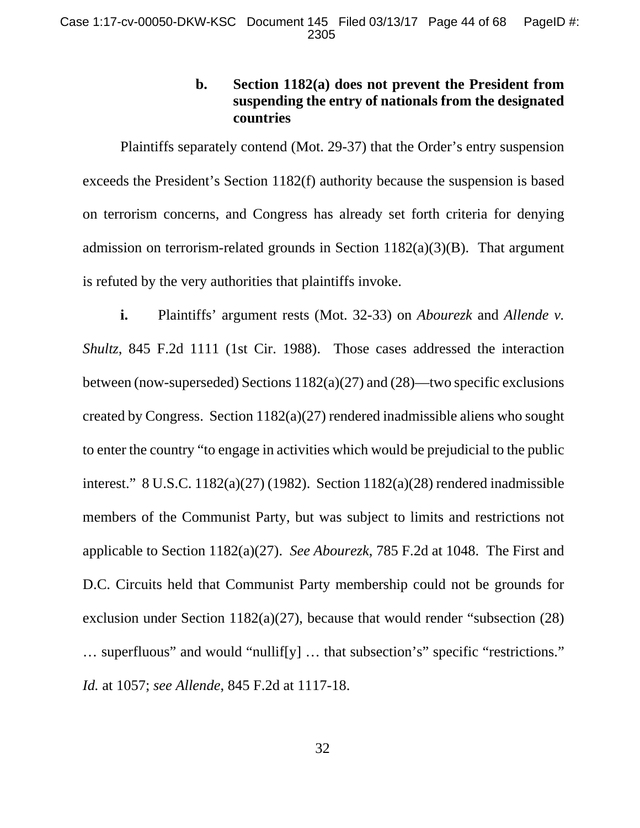# **b. Section 1182(a) does not prevent the President from suspending the entry of nationals from the designated countries**

Plaintiffs separately contend (Mot. 29-37) that the Order's entry suspension exceeds the President's Section 1182(f) authority because the suspension is based on terrorism concerns, and Congress has already set forth criteria for denying admission on terrorism-related grounds in Section 1182(a)(3)(B). That argument is refuted by the very authorities that plaintiffs invoke.

**i.** Plaintiffs' argument rests (Mot. 32-33) on *Abourezk* and *Allende v. Shultz*, 845 F.2d 1111 (1st Cir. 1988). Those cases addressed the interaction between (now-superseded) Sections 1182(a)(27) and (28)—two specific exclusions created by Congress. Section 1182(a)(27) rendered inadmissible aliens who sought to enter the country "to engage in activities which would be prejudicial to the public interest." 8 U.S.C. 1182(a)(27) (1982). Section 1182(a)(28) rendered inadmissible members of the Communist Party, but was subject to limits and restrictions not applicable to Section 1182(a)(27). *See Abourezk*, 785 F.2d at 1048. The First and D.C. Circuits held that Communist Party membership could not be grounds for exclusion under Section 1182(a)(27), because that would render "subsection (28) … superfluous" and would "nullif[y] … that subsection's" specific "restrictions." *Id.* at 1057; *see Allende*, 845 F.2d at 1117-18.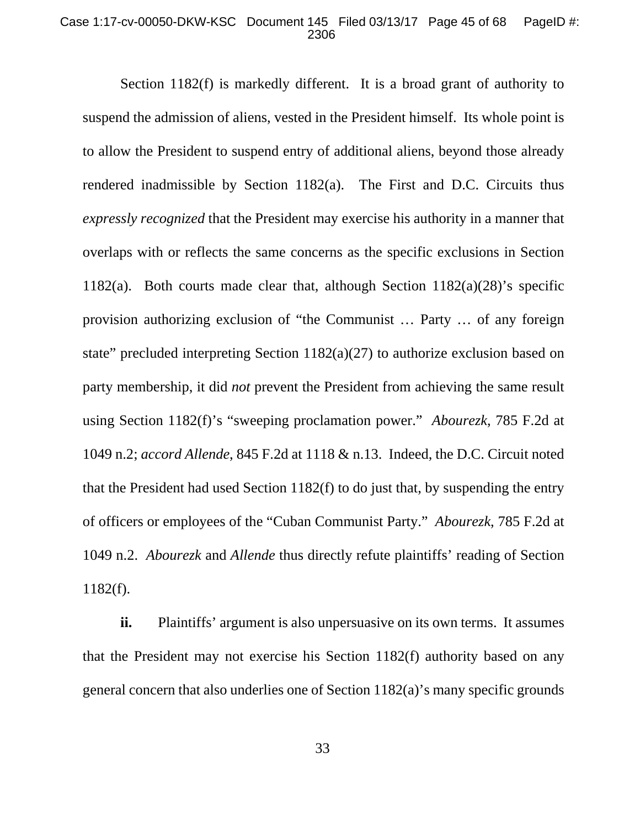#### Case 1:17-cv-00050-DKW-KSC Document 145 Filed 03/13/17 Page 45 of 68 PageID #: 2306

Section 1182(f) is markedly different. It is a broad grant of authority to suspend the admission of aliens, vested in the President himself. Its whole point is to allow the President to suspend entry of additional aliens, beyond those already rendered inadmissible by Section 1182(a). The First and D.C. Circuits thus *expressly recognized* that the President may exercise his authority in a manner that overlaps with or reflects the same concerns as the specific exclusions in Section 1182(a). Both courts made clear that, although Section  $1182(a)(28)$ 's specific provision authorizing exclusion of "the Communist … Party … of any foreign state" precluded interpreting Section  $1182(a)(27)$  to authorize exclusion based on party membership, it did *not* prevent the President from achieving the same result using Section 1182(f)'s "sweeping proclamation power." *Abourezk*, 785 F.2d at 1049 n.2; *accord Allende*, 845 F.2d at 1118 & n.13. Indeed, the D.C. Circuit noted that the President had used Section 1182(f) to do just that, by suspending the entry of officers or employees of the "Cuban Communist Party." *Abourezk*, 785 F.2d at 1049 n.2. *Abourezk* and *Allende* thus directly refute plaintiffs' reading of Section 1182(f).

**ii.** Plaintiffs' argument is also unpersuasive on its own terms. It assumes that the President may not exercise his Section 1182(f) authority based on any general concern that also underlies one of Section 1182(a)'s many specific grounds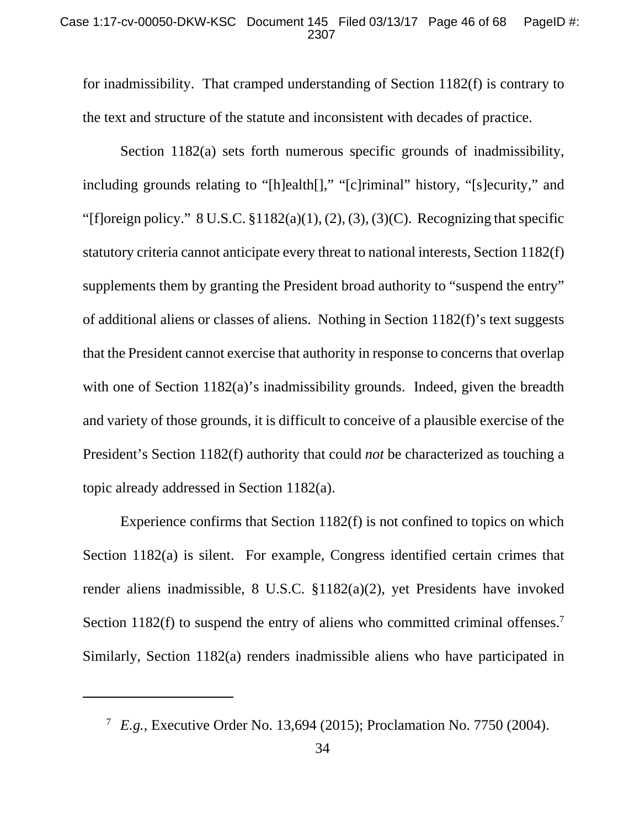#### Case 1:17-cv-00050-DKW-KSC Document 145 Filed 03/13/17 Page 46 of 68 PageID #: 2307

for inadmissibility. That cramped understanding of Section 1182(f) is contrary to the text and structure of the statute and inconsistent with decades of practice.

Section 1182(a) sets forth numerous specific grounds of inadmissibility, including grounds relating to "[h]ealth[]," "[c]riminal" history, "[s]ecurity," and "[f]oreign policy."  $8 \text{ U.S.C. } $1182(a)(1), (2), (3), (3)(C)$ . Recognizing that specific statutory criteria cannot anticipate every threat to national interests, Section 1182(f) supplements them by granting the President broad authority to "suspend the entry" of additional aliens or classes of aliens. Nothing in Section 1182(f)'s text suggests that the President cannot exercise that authority in response to concerns that overlap with one of Section 1182(a)'s inadmissibility grounds. Indeed, given the breadth and variety of those grounds, it is difficult to conceive of a plausible exercise of the President's Section 1182(f) authority that could *not* be characterized as touching a topic already addressed in Section 1182(a).

Experience confirms that Section 1182(f) is not confined to topics on which Section 1182(a) is silent. For example, Congress identified certain crimes that render aliens inadmissible, 8 U.S.C. §1182(a)(2), yet Presidents have invoked Section 1182(f) to suspend the entry of aliens who committed criminal offenses.<sup>7</sup> Similarly, Section 1182(a) renders inadmissible aliens who have participated in

 $\overline{a}$ 

<sup>7</sup> *E.g.*, Executive Order No. 13,694 (2015); Proclamation No. 7750 (2004).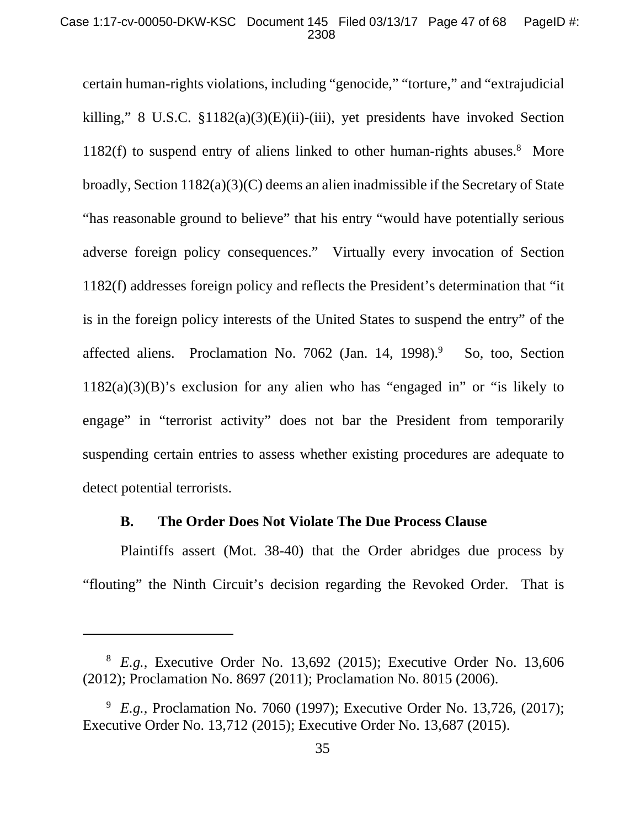#### Case 1:17-cv-00050-DKW-KSC Document 145 Filed 03/13/17 Page 47 of 68 PageID #: 2308

certain human-rights violations, including "genocide," "torture," and "extrajudicial killing," 8 U.S.C. §1182(a)(3)(E)(ii)-(iii), yet presidents have invoked Section 1182(f) to suspend entry of aliens linked to other human-rights abuses.<sup>8</sup> More broadly, Section 1182(a)(3)(C) deems an alien inadmissible if the Secretary of State "has reasonable ground to believe" that his entry "would have potentially serious adverse foreign policy consequences." Virtually every invocation of Section 1182(f) addresses foreign policy and reflects the President's determination that "it is in the foreign policy interests of the United States to suspend the entry" of the affected aliens. Proclamation No. 7062 (Jan. 14, 1998).<sup>9</sup> So, too, Section  $1182(a)(3)(B)$ 's exclusion for any alien who has "engaged in" or "is likely to engage" in "terrorist activity" does not bar the President from temporarily suspending certain entries to assess whether existing procedures are adequate to detect potential terrorists.

## **B. The Order Does Not Violate The Due Process Clause**

 $\overline{a}$ 

Plaintiffs assert (Mot. 38-40) that the Order abridges due process by "flouting" the Ninth Circuit's decision regarding the Revoked Order. That is

<sup>8</sup> *E.g.*, Executive Order No. 13,692 (2015); Executive Order No. 13,606 (2012); Proclamation No. 8697 (2011); Proclamation No. 8015 (2006).

<sup>&</sup>lt;sup>9</sup> E.g., Proclamation No. 7060 (1997); Executive Order No. 13,726, (2017); Executive Order No. 13,712 (2015); Executive Order No. 13,687 (2015).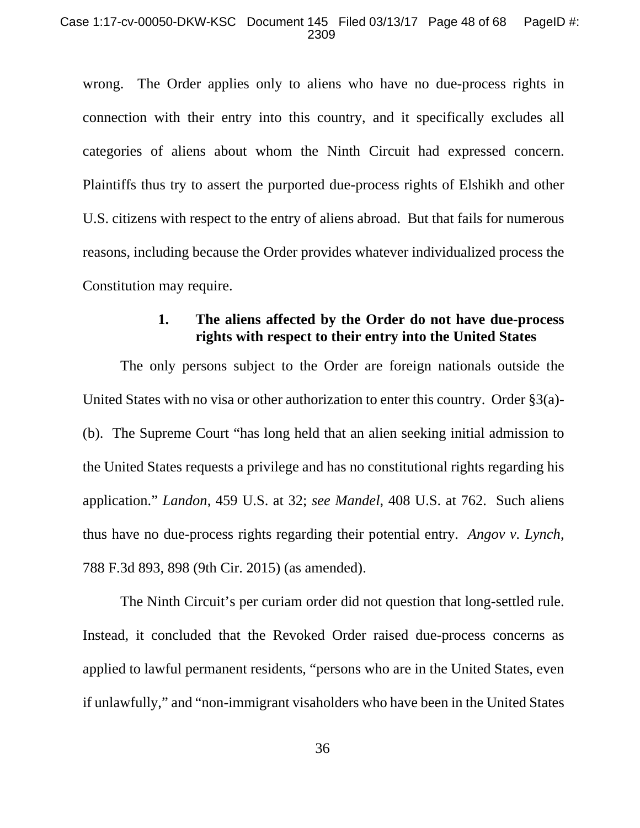#### Case 1:17-cv-00050-DKW-KSC Document 145 Filed 03/13/17 Page 48 of 68 PageID #: 2309

wrong. The Order applies only to aliens who have no due-process rights in connection with their entry into this country, and it specifically excludes all categories of aliens about whom the Ninth Circuit had expressed concern. Plaintiffs thus try to assert the purported due-process rights of Elshikh and other U.S. citizens with respect to the entry of aliens abroad. But that fails for numerous reasons, including because the Order provides whatever individualized process the Constitution may require.

# **1. The aliens affected by the Order do not have due-process rights with respect to their entry into the United States**

The only persons subject to the Order are foreign nationals outside the United States with no visa or other authorization to enter this country. Order §3(a)- (b). The Supreme Court "has long held that an alien seeking initial admission to the United States requests a privilege and has no constitutional rights regarding his application." *Landon*, 459 U.S. at 32; *see Mandel*, 408 U.S. at 762. Such aliens thus have no due-process rights regarding their potential entry. *Angov v. Lynch*, 788 F.3d 893, 898 (9th Cir. 2015) (as amended).

The Ninth Circuit's per curiam order did not question that long-settled rule. Instead, it concluded that the Revoked Order raised due-process concerns as applied to lawful permanent residents, "persons who are in the United States, even if unlawfully," and "non-immigrant visaholders who have been in the United States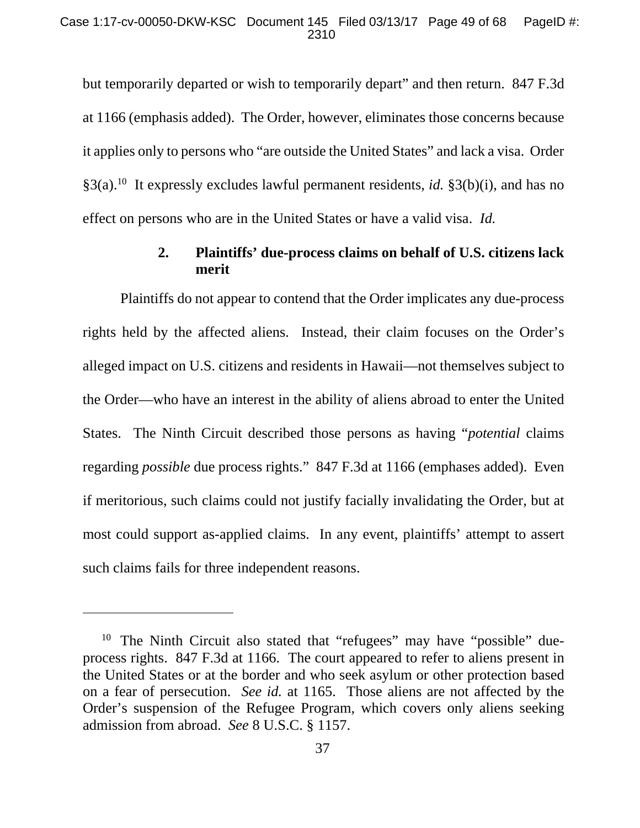but temporarily departed or wish to temporarily depart" and then return. 847 F.3d at 1166 (emphasis added). The Order, however, eliminates those concerns because it applies only to persons who "are outside the United States" and lack a visa. Order §3(a).10 It expressly excludes lawful permanent residents, *id.* §3(b)(i), and has no effect on persons who are in the United States or have a valid visa. *Id.*

# **2. Plaintiffs' due-process claims on behalf of U.S. citizens lack merit**

Plaintiffs do not appear to contend that the Order implicates any due-process rights held by the affected aliens. Instead, their claim focuses on the Order's alleged impact on U.S. citizens and residents in Hawaii—not themselves subject to the Order—who have an interest in the ability of aliens abroad to enter the United States. The Ninth Circuit described those persons as having "*potential* claims regarding *possible* due process rights." 847 F.3d at 1166 (emphases added). Even if meritorious, such claims could not justify facially invalidating the Order, but at most could support as-applied claims. In any event, plaintiffs' attempt to assert such claims fails for three independent reasons.

 $\overline{a}$ 

<sup>&</sup>lt;sup>10</sup> The Ninth Circuit also stated that "refugees" may have "possible" dueprocess rights. 847 F.3d at 1166. The court appeared to refer to aliens present in the United States or at the border and who seek asylum or other protection based on a fear of persecution. *See id.* at 1165. Those aliens are not affected by the Order's suspension of the Refugee Program, which covers only aliens seeking admission from abroad. *See* 8 U.S.C. § 1157.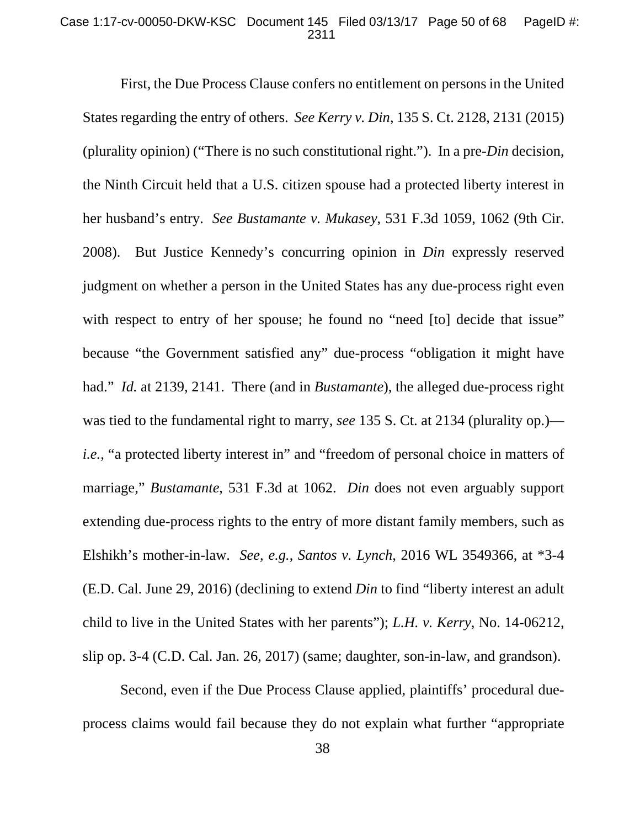#### Case 1:17-cv-00050-DKW-KSC Document 145 Filed 03/13/17 Page 50 of 68 PageID #: 2311

First, the Due Process Clause confers no entitlement on persons in the United States regarding the entry of others. *See Kerry v. Din*, 135 S. Ct. 2128, 2131 (2015) (plurality opinion) ("There is no such constitutional right."). In a pre-*Din* decision, the Ninth Circuit held that a U.S. citizen spouse had a protected liberty interest in her husband's entry. *See Bustamante v. Mukasey*, 531 F.3d 1059, 1062 (9th Cir. 2008). But Justice Kennedy's concurring opinion in *Din* expressly reserved judgment on whether a person in the United States has any due-process right even with respect to entry of her spouse; he found no "need [to] decide that issue" because "the Government satisfied any" due-process "obligation it might have had." *Id.* at 2139, 2141. There (and in *Bustamante*), the alleged due-process right was tied to the fundamental right to marry, *see* 135 S. Ct. at 2134 (plurality op.) *i.e.*, "a protected liberty interest in" and "freedom of personal choice in matters of marriage," *Bustamante*, 531 F.3d at 1062. *Din* does not even arguably support extending due-process rights to the entry of more distant family members, such as Elshikh's mother-in-law. *See*, *e.g.*, *Santos v. Lynch*, 2016 WL 3549366, at \*3-4 (E.D. Cal. June 29, 2016) (declining to extend *Din* to find "liberty interest an adult child to live in the United States with her parents"); *L.H. v. Kerry*, No. 14-06212, slip op. 3-4 (C.D. Cal. Jan. 26, 2017) (same; daughter, son-in-law, and grandson).

Second, even if the Due Process Clause applied, plaintiffs' procedural dueprocess claims would fail because they do not explain what further "appropriate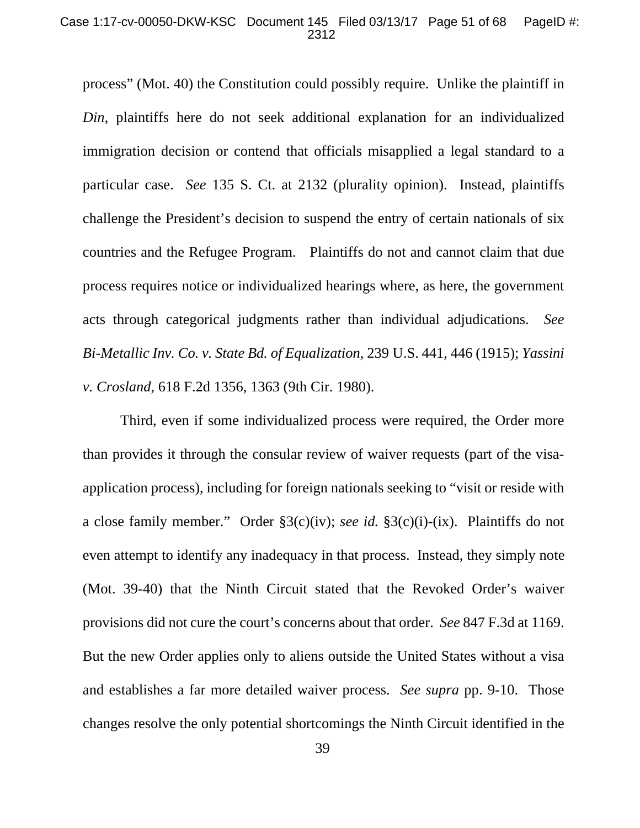#### Case 1:17-cv-00050-DKW-KSC Document 145 Filed 03/13/17 Page 51 of 68 PageID #: 2312

process" (Mot. 40) the Constitution could possibly require. Unlike the plaintiff in *Din*, plaintiffs here do not seek additional explanation for an individualized immigration decision or contend that officials misapplied a legal standard to a particular case. *See* 135 S. Ct. at 2132 (plurality opinion). Instead, plaintiffs challenge the President's decision to suspend the entry of certain nationals of six countries and the Refugee Program. Plaintiffs do not and cannot claim that due process requires notice or individualized hearings where, as here, the government acts through categorical judgments rather than individual adjudications. *See Bi-Metallic Inv. Co. v. State Bd. of Equalization*, 239 U.S. 441, 446 (1915); *Yassini v. Crosland*, 618 F.2d 1356, 1363 (9th Cir. 1980).

Third, even if some individualized process were required, the Order more than provides it through the consular review of waiver requests (part of the visaapplication process), including for foreign nationals seeking to "visit or reside with a close family member." Order §3(c)(iv); *see id.* §3(c)(i)-(ix). Plaintiffs do not even attempt to identify any inadequacy in that process. Instead, they simply note (Mot. 39-40) that the Ninth Circuit stated that the Revoked Order's waiver provisions did not cure the court's concerns about that order. *See* 847 F.3d at 1169. But the new Order applies only to aliens outside the United States without a visa and establishes a far more detailed waiver process. *See supra* pp. 9-10.Those changes resolve the only potential shortcomings the Ninth Circuit identified in the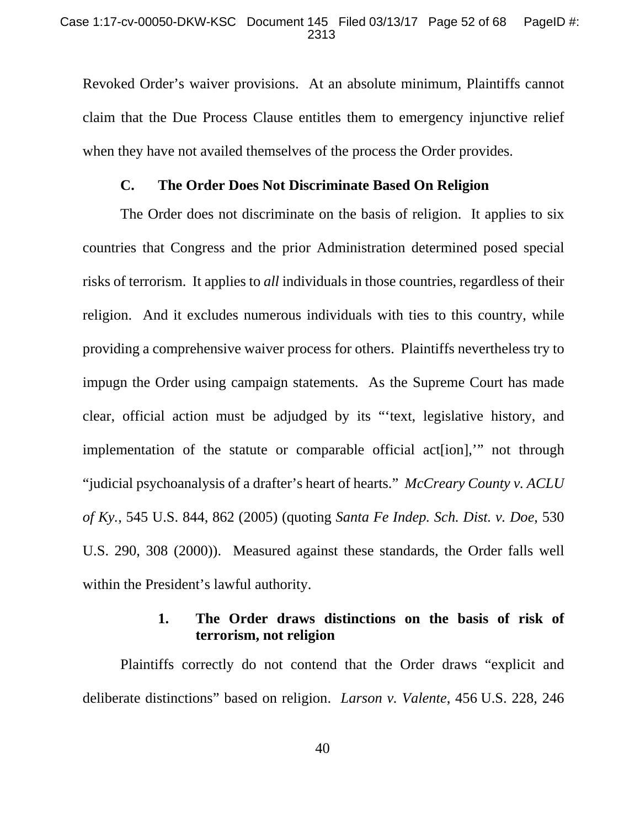#### Case 1:17-cv-00050-DKW-KSC Document 145 Filed 03/13/17 Page 52 of 68 PageID #: 2313

Revoked Order's waiver provisions. At an absolute minimum, Plaintiffs cannot claim that the Due Process Clause entitles them to emergency injunctive relief when they have not availed themselves of the process the Order provides.

### **C. The Order Does Not Discriminate Based On Religion**

The Order does not discriminate on the basis of religion. It applies to six countries that Congress and the prior Administration determined posed special risks of terrorism. It applies to *all* individuals in those countries, regardless of their religion. And it excludes numerous individuals with ties to this country, while providing a comprehensive waiver process for others. Plaintiffs nevertheless try to impugn the Order using campaign statements. As the Supreme Court has made clear, official action must be adjudged by its "'text, legislative history, and implementation of the statute or comparable official act[ion],'" not through "judicial psychoanalysis of a drafter's heart of hearts." *McCreary County v. ACLU of Ky.*, 545 U.S. 844, 862 (2005) (quoting *Santa Fe Indep. Sch. Dist. v. Doe*, 530 U.S. 290, 308 (2000)). Measured against these standards, the Order falls well within the President's lawful authority.

## **1. The Order draws distinctions on the basis of risk of terrorism, not religion**

Plaintiffs correctly do not contend that the Order draws "explicit and deliberate distinctions" based on religion. *Larson v. Valente*, 456 U.S. 228, 246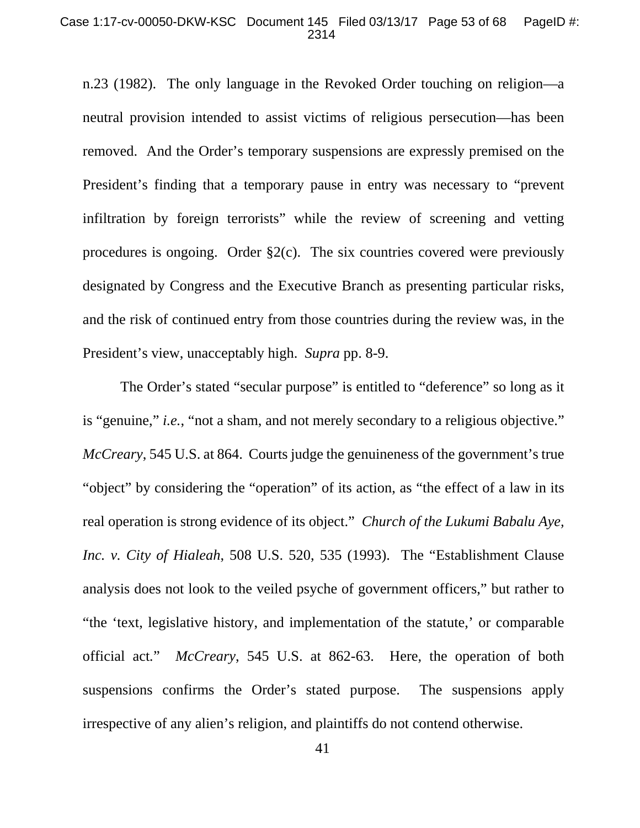#### Case 1:17-cv-00050-DKW-KSC Document 145 Filed 03/13/17 Page 53 of 68 PageID #: 2314

n.23 (1982). The only language in the Revoked Order touching on religion—a neutral provision intended to assist victims of religious persecution—has been removed. And the Order's temporary suspensions are expressly premised on the President's finding that a temporary pause in entry was necessary to "prevent infiltration by foreign terrorists" while the review of screening and vetting procedures is ongoing. Order  $\S2(c)$ . The six countries covered were previously designated by Congress and the Executive Branch as presenting particular risks, and the risk of continued entry from those countries during the review was, in the President's view, unacceptably high. *Supra* pp. 8-9.

The Order's stated "secular purpose" is entitled to "deference" so long as it is "genuine," *i.e.*, "not a sham, and not merely secondary to a religious objective." *McCreary*, 545 U.S. at 864. Courts judge the genuineness of the government's true "object" by considering the "operation" of its action, as "the effect of a law in its real operation is strong evidence of its object." *Church of the Lukumi Babalu Aye, Inc. v. City of Hialeah*, 508 U.S. 520, 535 (1993). The "Establishment Clause analysis does not look to the veiled psyche of government officers," but rather to "the 'text, legislative history, and implementation of the statute,' or comparable official act*.*" *McCreary*, 545 U.S. at 862-63. Here, the operation of both suspensions confirms the Order's stated purpose. The suspensions apply irrespective of any alien's religion, and plaintiffs do not contend otherwise.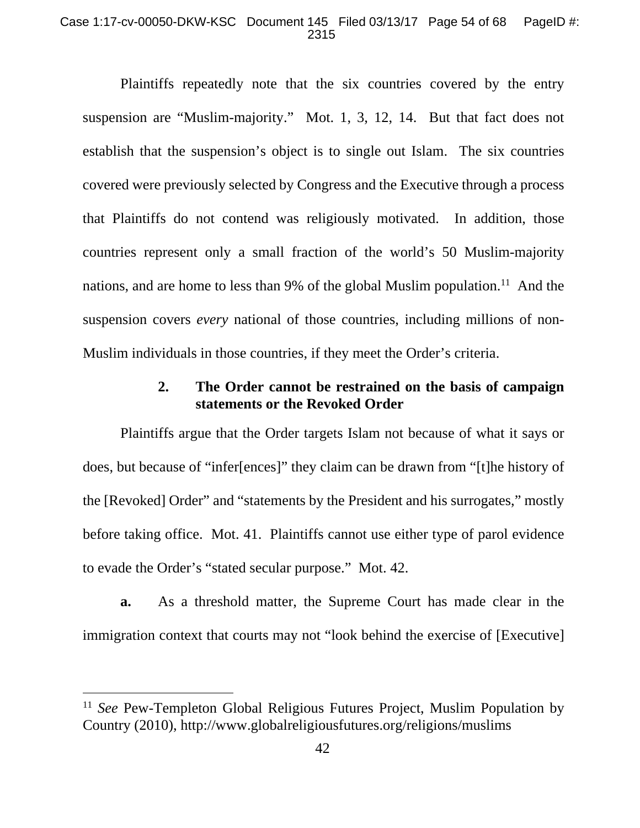#### Case 1:17-cv-00050-DKW-KSC Document 145 Filed 03/13/17 Page 54 of 68 PageID #: 2315

Plaintiffs repeatedly note that the six countries covered by the entry suspension are "Muslim-majority." Mot. 1, 3, 12, 14. But that fact does not establish that the suspension's object is to single out Islam. The six countries covered were previously selected by Congress and the Executive through a process that Plaintiffs do not contend was religiously motivated. In addition, those countries represent only a small fraction of the world's 50 Muslim-majority nations, and are home to less than 9% of the global Muslim population.<sup>11</sup> And the suspension covers *every* national of those countries, including millions of non-Muslim individuals in those countries, if they meet the Order's criteria.

# **2. The Order cannot be restrained on the basis of campaign statements or the Revoked Order**

Plaintiffs argue that the Order targets Islam not because of what it says or does, but because of "infer[ences]" they claim can be drawn from "[t]he history of the [Revoked] Order" and "statements by the President and his surrogates," mostly before taking office. Mot. 41. Plaintiffs cannot use either type of parol evidence to evade the Order's "stated secular purpose." Mot. 42.

**a.** As a threshold matter, the Supreme Court has made clear in the immigration context that courts may not "look behind the exercise of [Executive]

 $\overline{a}$ 

<sup>&</sup>lt;sup>11</sup> *See* Pew-Templeton Global Religious Futures Project, Muslim Population by Country (2010), http://www.globalreligiousfutures.org/religions/muslims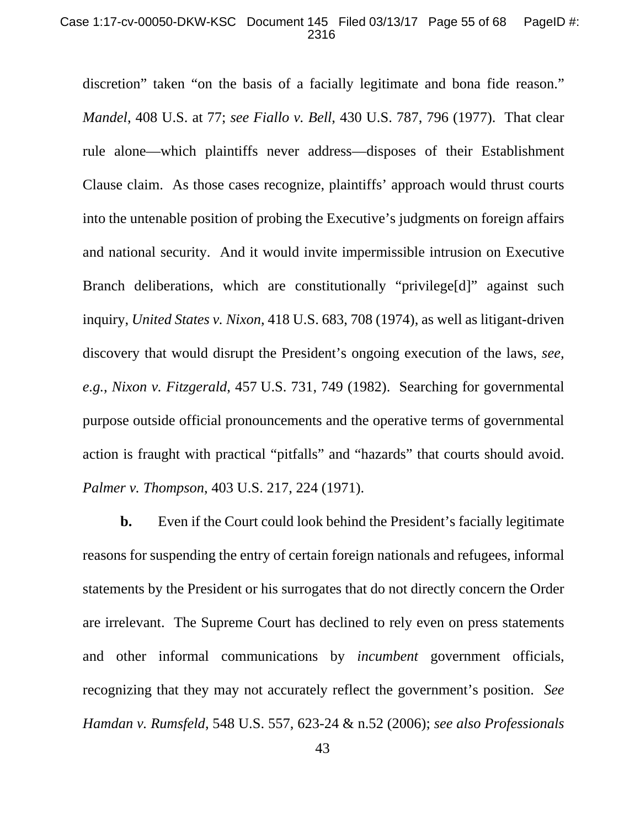#### Case 1:17-cv-00050-DKW-KSC Document 145 Filed 03/13/17 Page 55 of 68 PageID #: 2316

discretion" taken "on the basis of a facially legitimate and bona fide reason." *Mandel*, 408 U.S. at 77; *see Fiallo v. Bell*, 430 U.S. 787, 796 (1977). That clear rule alone—which plaintiffs never address—disposes of their Establishment Clause claim. As those cases recognize, plaintiffs' approach would thrust courts into the untenable position of probing the Executive's judgments on foreign affairs and national security. And it would invite impermissible intrusion on Executive Branch deliberations, which are constitutionally "privilege[d]" against such inquiry, *United States v. Nixon*, 418 U.S. 683, 708 (1974), as well as litigant-driven discovery that would disrupt the President's ongoing execution of the laws, *see, e.g.*, *Nixon v. Fitzgerald*, 457 U.S. 731, 749 (1982). Searching for governmental purpose outside official pronouncements and the operative terms of governmental action is fraught with practical "pitfalls" and "hazards" that courts should avoid. *Palmer v. Thompson*, 403 U.S. 217, 224 (1971).

**b.** Even if the Court could look behind the President's facially legitimate reasons for suspending the entry of certain foreign nationals and refugees, informal statements by the President or his surrogates that do not directly concern the Order are irrelevant. The Supreme Court has declined to rely even on press statements and other informal communications by *incumbent* government officials, recognizing that they may not accurately reflect the government's position. *See Hamdan v. Rumsfeld*, 548 U.S. 557, 623-24 & n.52 (2006); *see also Professionals*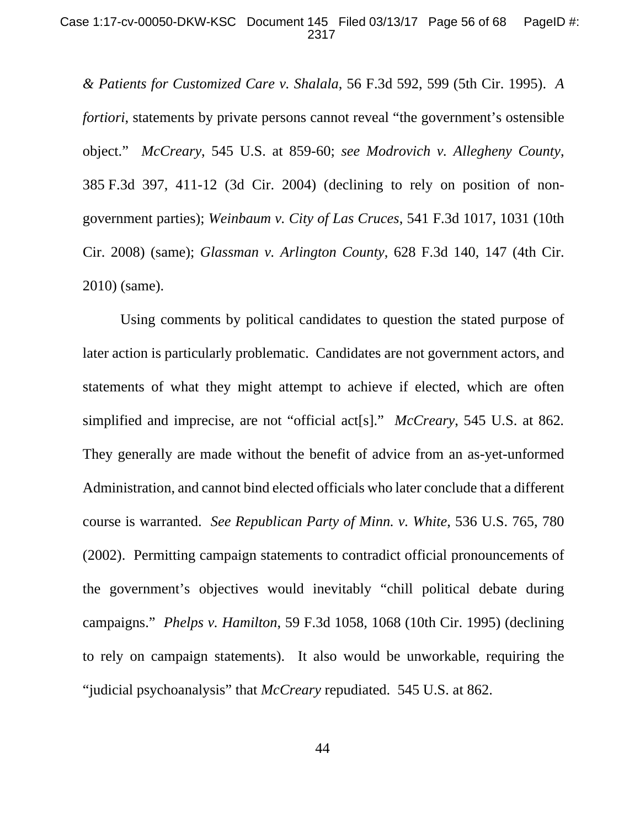#### Case 1:17-cv-00050-DKW-KSC Document 145 Filed 03/13/17 Page 56 of 68 PageID #: 2317

*& Patients for Customized Care v. Shalala*, 56 F.3d 592, 599 (5th Cir. 1995). *A fortiori*, statements by private persons cannot reveal "the government's ostensible object." *McCreary*, 545 U.S. at 859-60; *see Modrovich v. Allegheny County*, 385 F.3d 397, 411-12 (3d Cir. 2004) (declining to rely on position of nongovernment parties); *Weinbaum v. City of Las Cruces*, 541 F.3d 1017, 1031 (10th Cir. 2008) (same); *Glassman v. Arlington County*, 628 F.3d 140, 147 (4th Cir. 2010) (same).

Using comments by political candidates to question the stated purpose of later action is particularly problematic. Candidates are not government actors, and statements of what they might attempt to achieve if elected, which are often simplified and imprecise, are not "official act[s]." *McCreary*, 545 U.S. at 862*.* They generally are made without the benefit of advice from an as-yet-unformed Administration, and cannot bind elected officials who later conclude that a different course is warranted. *See Republican Party of Minn. v. White*, 536 U.S. 765, 780 (2002). Permitting campaign statements to contradict official pronouncements of the government's objectives would inevitably "chill political debate during campaigns." *Phelps v. Hamilton*, 59 F.3d 1058, 1068 (10th Cir. 1995) (declining to rely on campaign statements). It also would be unworkable, requiring the "judicial psychoanalysis" that *McCreary* repudiated. 545 U.S. at 862.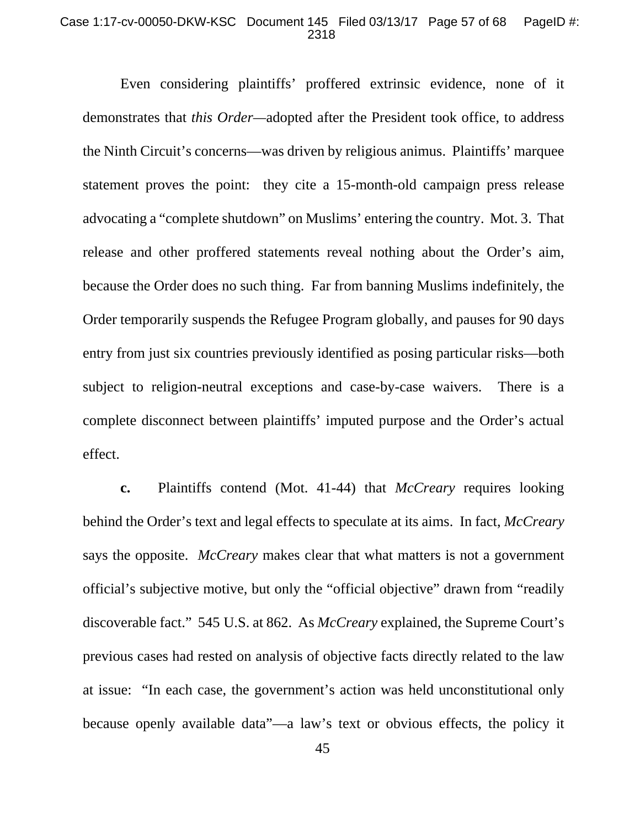#### Case 1:17-cv-00050-DKW-KSC Document 145 Filed 03/13/17 Page 57 of 68 PageID #: 2318

Even considering plaintiffs' proffered extrinsic evidence, none of it demonstrates that *this Order—*adopted after the President took office, to address the Ninth Circuit's concerns—was driven by religious animus. Plaintiffs' marquee statement proves the point: they cite a 15-month-old campaign press release advocating a "complete shutdown" on Muslims' entering the country. Mot. 3. That release and other proffered statements reveal nothing about the Order's aim, because the Order does no such thing. Far from banning Muslims indefinitely, the Order temporarily suspends the Refugee Program globally, and pauses for 90 days entry from just six countries previously identified as posing particular risks—both subject to religion-neutral exceptions and case-by-case waivers. There is a complete disconnect between plaintiffs' imputed purpose and the Order's actual effect.

**c.** Plaintiffs contend (Mot. 41-44) that *McCreary* requires looking behind the Order's text and legal effects to speculate at its aims. In fact, *McCreary* says the opposite. *McCreary* makes clear that what matters is not a government official's subjective motive, but only the "official objective" drawn from "readily discoverable fact." 545 U.S. at 862. As *McCreary* explained, the Supreme Court's previous cases had rested on analysis of objective facts directly related to the law at issue: "In each case, the government's action was held unconstitutional only because openly available data"—a law's text or obvious effects, the policy it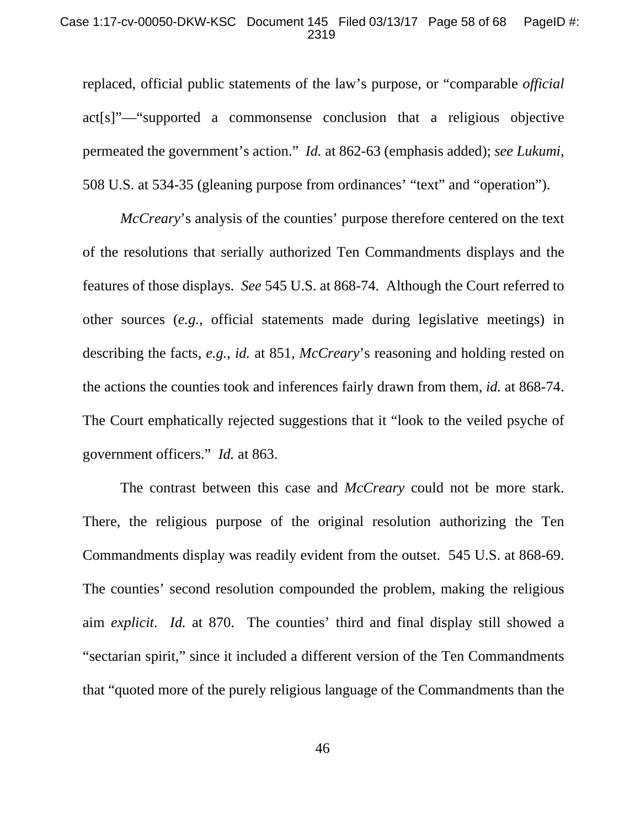#### Case 1:17-cv-00050-DKW-KSC Document 145 Filed 03/13/17 Page 58 of 68 PageID #: 2319

replaced, official public statements of the law's purpose, or "comparable *official* act[s]"—"supported a commonsense conclusion that a religious objective permeated the government's action." *Id.* at 862-63 (emphasis added); *see Lukumi*, 508 U.S. at 534-35 (gleaning purpose from ordinances' "text" and "operation").

*McCreary*'s analysis of the counties' purpose therefore centered on the text of the resolutions that serially authorized Ten Commandments displays and the features of those displays. *See* 545 U.S. at 868-74. Although the Court referred to other sources (*e.g.*, official statements made during legislative meetings) in describing the facts, *e.g.*, *id.* at 851, *McCreary*'s reasoning and holding rested on the actions the counties took and inferences fairly drawn from them, *id.* at 868-74. The Court emphatically rejected suggestions that it "look to the veiled psyche of government officers." *Id.* at 863.

The contrast between this case and *McCreary* could not be more stark. There, the religious purpose of the original resolution authorizing the Ten Commandments display was readily evident from the outset. 545 U.S. at 868-69. The counties' second resolution compounded the problem, making the religious aim *explicit*. *Id.* at 870. The counties' third and final display still showed a "sectarian spirit," since it included a different version of the Ten Commandments that "quoted more of the purely religious language of the Commandments than the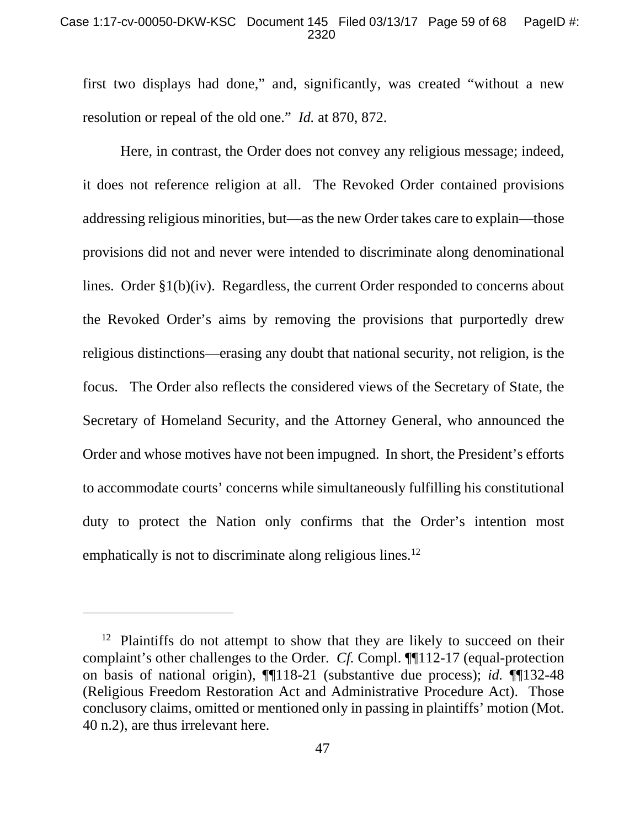#### Case 1:17-cv-00050-DKW-KSC Document 145 Filed 03/13/17 Page 59 of 68 PageID #: 2320

first two displays had done," and, significantly, was created "without a new resolution or repeal of the old one." *Id.* at 870, 872.

Here, in contrast, the Order does not convey any religious message; indeed, it does not reference religion at all. The Revoked Order contained provisions addressing religious minorities, but—as the new Order takes care to explain—those provisions did not and never were intended to discriminate along denominational lines. Order §1(b)(iv). Regardless, the current Order responded to concerns about the Revoked Order's aims by removing the provisions that purportedly drew religious distinctions—erasing any doubt that national security, not religion, is the focus. The Order also reflects the considered views of the Secretary of State, the Secretary of Homeland Security, and the Attorney General, who announced the Order and whose motives have not been impugned. In short, the President's efforts to accommodate courts' concerns while simultaneously fulfilling his constitutional duty to protect the Nation only confirms that the Order's intention most emphatically is not to discriminate along religious lines.<sup>12</sup>

 $\overline{a}$ 

 $12$  Plaintiffs do not attempt to show that they are likely to succeed on their complaint's other challenges to the Order. *Cf.* Compl. ¶¶112-17 (equal-protection on basis of national origin), ¶¶118-21 (substantive due process); *id.* ¶¶132-48 (Religious Freedom Restoration Act and Administrative Procedure Act). Those conclusory claims, omitted or mentioned only in passing in plaintiffs' motion (Mot. 40 n.2), are thus irrelevant here.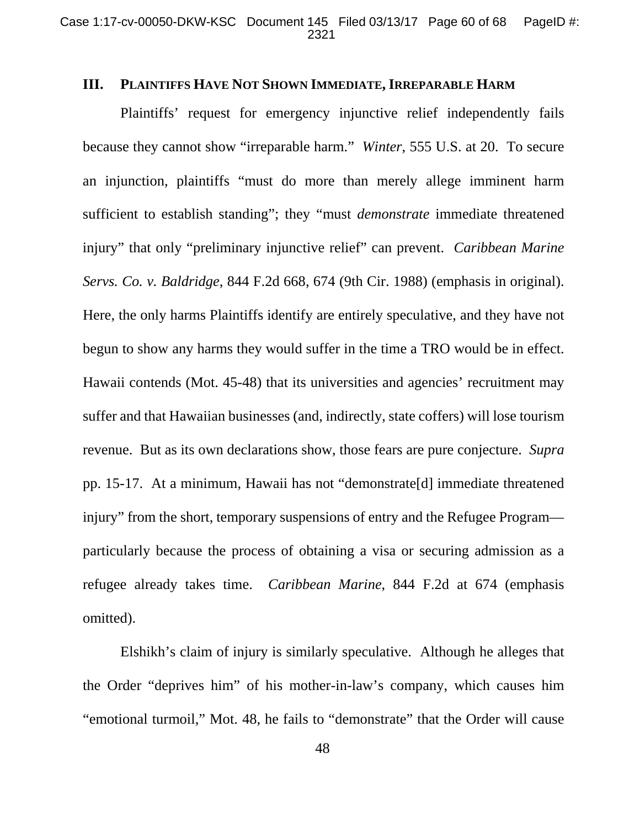### **III. PLAINTIFFS HAVE NOT SHOWN IMMEDIATE, IRREPARABLE HARM**

Plaintiffs' request for emergency injunctive relief independently fails because they cannot show "irreparable harm." *Winter*, 555 U.S. at 20. To secure an injunction, plaintiffs "must do more than merely allege imminent harm sufficient to establish standing"; they "must *demonstrate* immediate threatened injury" that only "preliminary injunctive relief" can prevent. *Caribbean Marine Servs. Co. v. Baldridge*, 844 F.2d 668, 674 (9th Cir. 1988) (emphasis in original). Here, the only harms Plaintiffs identify are entirely speculative, and they have not begun to show any harms they would suffer in the time a TRO would be in effect. Hawaii contends (Mot. 45-48) that its universities and agencies' recruitment may suffer and that Hawaiian businesses (and, indirectly, state coffers) will lose tourism revenue. But as its own declarations show, those fears are pure conjecture. *Supra* pp. 15-17. At a minimum, Hawaii has not "demonstrate[d] immediate threatened injury" from the short, temporary suspensions of entry and the Refugee Program particularly because the process of obtaining a visa or securing admission as a refugee already takes time. *Caribbean Marine*, 844 F.2d at 674 (emphasis omitted).

Elshikh's claim of injury is similarly speculative. Although he alleges that the Order "deprives him" of his mother-in-law's company, which causes him "emotional turmoil," Mot. 48, he fails to "demonstrate" that the Order will cause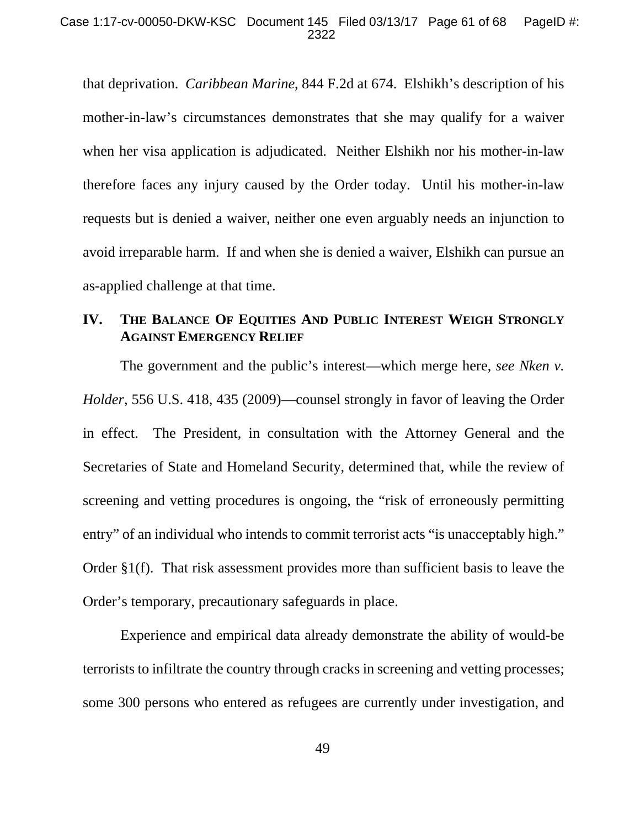#### Case 1:17-cv-00050-DKW-KSC Document 145 Filed 03/13/17 Page 61 of 68 PageID #: 2322

that deprivation. *Caribbean Marine*, 844 F.2d at 674. Elshikh's description of his mother-in-law's circumstances demonstrates that she may qualify for a waiver when her visa application is adjudicated. Neither Elshikh nor his mother-in-law therefore faces any injury caused by the Order today. Until his mother-in-law requests but is denied a waiver, neither one even arguably needs an injunction to avoid irreparable harm. If and when she is denied a waiver, Elshikh can pursue an as-applied challenge at that time.

# **IV. THE BALANCE OF EQUITIES AND PUBLIC INTEREST WEIGH STRONGLY AGAINST EMERGENCY RELIEF**

The government and the public's interest—which merge here, *see Nken v. Holder*, 556 U.S. 418, 435 (2009)—counsel strongly in favor of leaving the Order in effect. The President, in consultation with the Attorney General and the Secretaries of State and Homeland Security, determined that, while the review of screening and vetting procedures is ongoing, the "risk of erroneously permitting entry" of an individual who intends to commit terrorist acts "is unacceptably high." Order §1(f). That risk assessment provides more than sufficient basis to leave the Order's temporary, precautionary safeguards in place.

Experience and empirical data already demonstrate the ability of would-be terrorists to infiltrate the country through cracks in screening and vetting processes; some 300 persons who entered as refugees are currently under investigation, and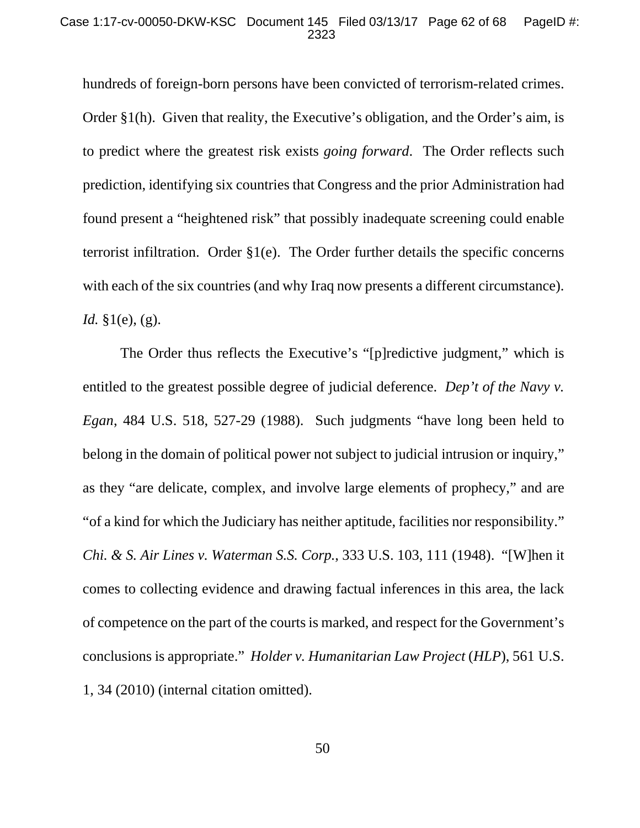hundreds of foreign-born persons have been convicted of terrorism-related crimes. Order §1(h). Given that reality, the Executive's obligation, and the Order's aim, is to predict where the greatest risk exists *going forward*. The Order reflects such prediction, identifying six countries that Congress and the prior Administration had found present a "heightened risk" that possibly inadequate screening could enable terrorist infiltration. Order  $\S1(e)$ . The Order further details the specific concerns with each of the six countries (and why Iraq now presents a different circumstance). *Id.* §1(e), (g).

The Order thus reflects the Executive's "[p]redictive judgment," which is entitled to the greatest possible degree of judicial deference. *Dep't of the Navy v. Egan*, 484 U.S. 518, 527-29 (1988). Such judgments "have long been held to belong in the domain of political power not subject to judicial intrusion or inquiry," as they "are delicate, complex, and involve large elements of prophecy," and are "of a kind for which the Judiciary has neither aptitude, facilities nor responsibility." *Chi. & S. Air Lines v. Waterman S.S. Corp.*, 333 U.S. 103, 111 (1948). "[W]hen it comes to collecting evidence and drawing factual inferences in this area, the lack of competence on the part of the courts is marked, and respect for the Government's conclusions is appropriate." *Holder v. Humanitarian Law Project* (*HLP*), 561 U.S. 1, 34 (2010) (internal citation omitted).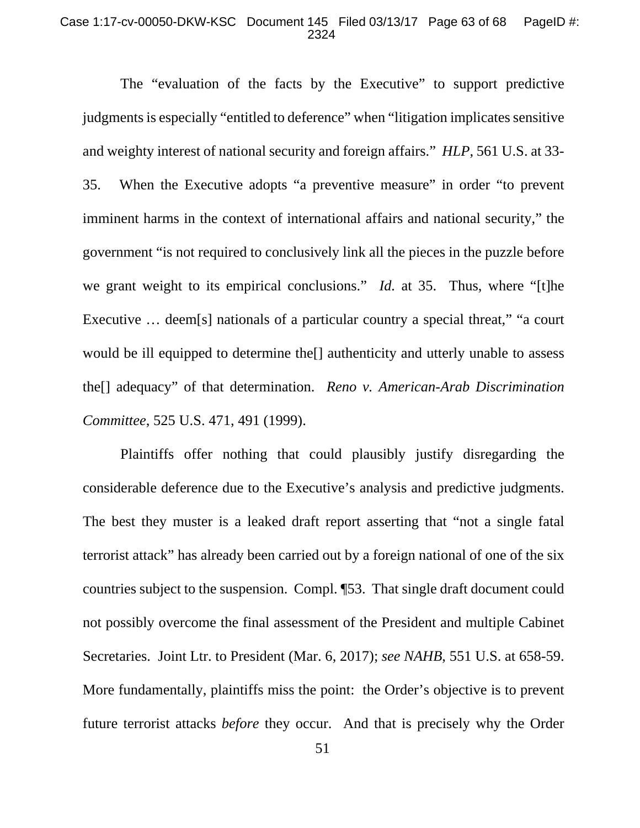#### Case 1:17-cv-00050-DKW-KSC Document 145 Filed 03/13/17 Page 63 of 68 PageID #: 2324

The "evaluation of the facts by the Executive" to support predictive judgments is especially "entitled to deference" when "litigation implicates sensitive and weighty interest of national security and foreign affairs." *HLP*, 561 U.S. at 33- 35. When the Executive adopts "a preventive measure" in order "to prevent imminent harms in the context of international affairs and national security," the government "is not required to conclusively link all the pieces in the puzzle before we grant weight to its empirical conclusions." *Id.* at 35. Thus, where "[t]he Executive ... deem[s] nationals of a particular country a special threat," "a court would be ill equipped to determine the[] authenticity and utterly unable to assess the[] adequacy" of that determination. *Reno v. American-Arab Discrimination Committee*, 525 U.S. 471, 491 (1999).

Plaintiffs offer nothing that could plausibly justify disregarding the considerable deference due to the Executive's analysis and predictive judgments. The best they muster is a leaked draft report asserting that "not a single fatal terrorist attack" has already been carried out by a foreign national of one of the six countries subject to the suspension. Compl. ¶53. That single draft document could not possibly overcome the final assessment of the President and multiple Cabinet Secretaries. Joint Ltr. to President (Mar. 6, 2017); *see NAHB*, 551 U.S. at 658-59. More fundamentally, plaintiffs miss the point: the Order's objective is to prevent future terrorist attacks *before* they occur. And that is precisely why the Order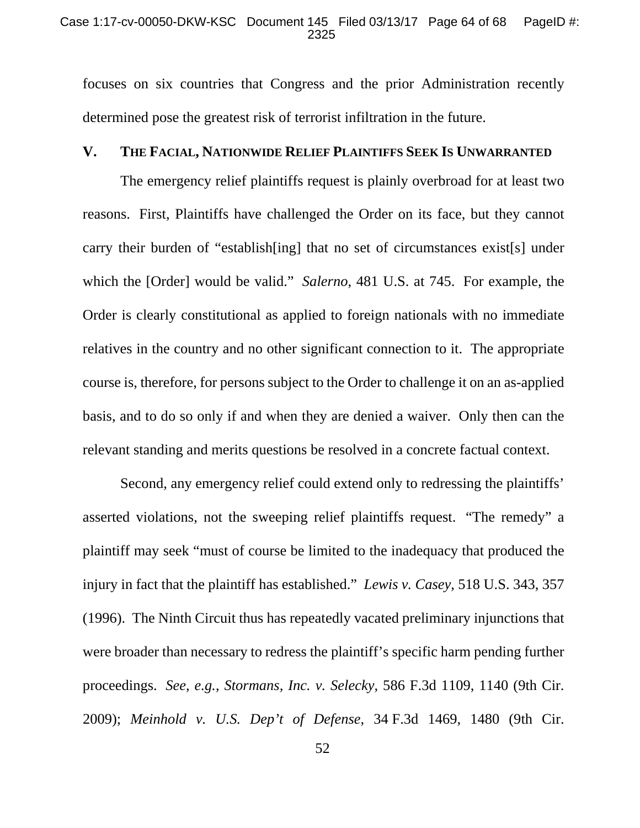focuses on six countries that Congress and the prior Administration recently determined pose the greatest risk of terrorist infiltration in the future.

## **V. THE FACIAL, NATIONWIDE RELIEF PLAINTIFFS SEEK IS UNWARRANTED**

The emergency relief plaintiffs request is plainly overbroad for at least two reasons. First, Plaintiffs have challenged the Order on its face, but they cannot carry their burden of "establish[ing] that no set of circumstances exist[s] under which the [Order] would be valid." *Salerno*, 481 U.S. at 745. For example, the Order is clearly constitutional as applied to foreign nationals with no immediate relatives in the country and no other significant connection to it. The appropriate course is, therefore, for persons subject to the Order to challenge it on an as-applied basis, and to do so only if and when they are denied a waiver. Only then can the relevant standing and merits questions be resolved in a concrete factual context.

Second, any emergency relief could extend only to redressing the plaintiffs' asserted violations, not the sweeping relief plaintiffs request. "The remedy" a plaintiff may seek "must of course be limited to the inadequacy that produced the injury in fact that the plaintiff has established." *Lewis v. Casey*, 518 U.S. 343, 357 (1996). The Ninth Circuit thus has repeatedly vacated preliminary injunctions that were broader than necessary to redress the plaintiff's specific harm pending further proceedings. *See*, *e.g.*, *Stormans, Inc. v. Selecky*, 586 F.3d 1109, 1140 (9th Cir. 2009); *Meinhold v. U.S. Dep't of Defense*, 34 F.3d 1469, 1480 (9th Cir.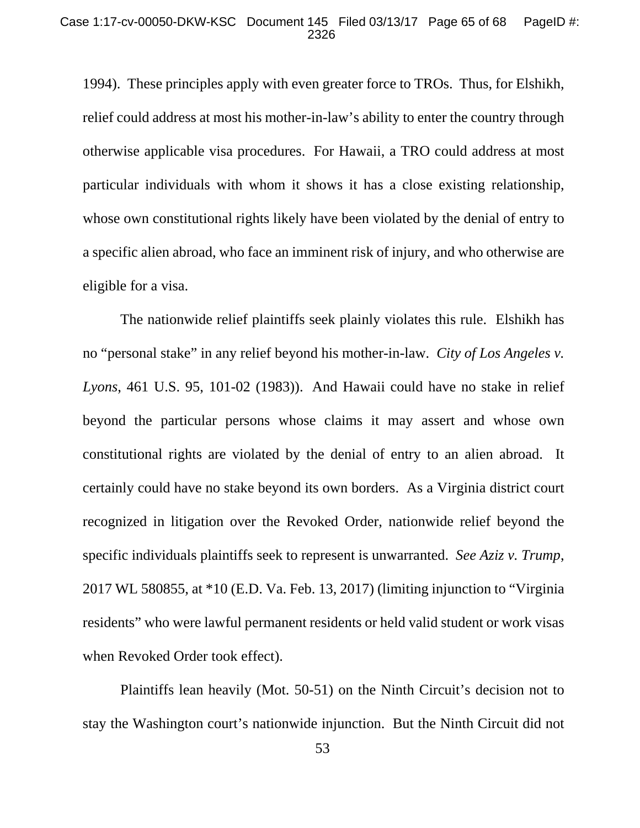1994). These principles apply with even greater force to TROs. Thus, for Elshikh, relief could address at most his mother-in-law's ability to enter the country through otherwise applicable visa procedures. For Hawaii, a TRO could address at most particular individuals with whom it shows it has a close existing relationship, whose own constitutional rights likely have been violated by the denial of entry to a specific alien abroad, who face an imminent risk of injury, and who otherwise are eligible for a visa.

The nationwide relief plaintiffs seek plainly violates this rule. Elshikh has no "personal stake" in any relief beyond his mother-in-law. *City of Los Angeles v. Lyons*, 461 U.S. 95, 101-02 (1983)). And Hawaii could have no stake in relief beyond the particular persons whose claims it may assert and whose own constitutional rights are violated by the denial of entry to an alien abroad. It certainly could have no stake beyond its own borders. As a Virginia district court recognized in litigation over the Revoked Order, nationwide relief beyond the specific individuals plaintiffs seek to represent is unwarranted. *See Aziz v. Trump*, 2017 WL 580855, at \*10 (E.D. Va. Feb. 13, 2017) (limiting injunction to "Virginia residents" who were lawful permanent residents or held valid student or work visas when Revoked Order took effect).

Plaintiffs lean heavily (Mot. 50-51) on the Ninth Circuit's decision not to stay the Washington court's nationwide injunction. But the Ninth Circuit did not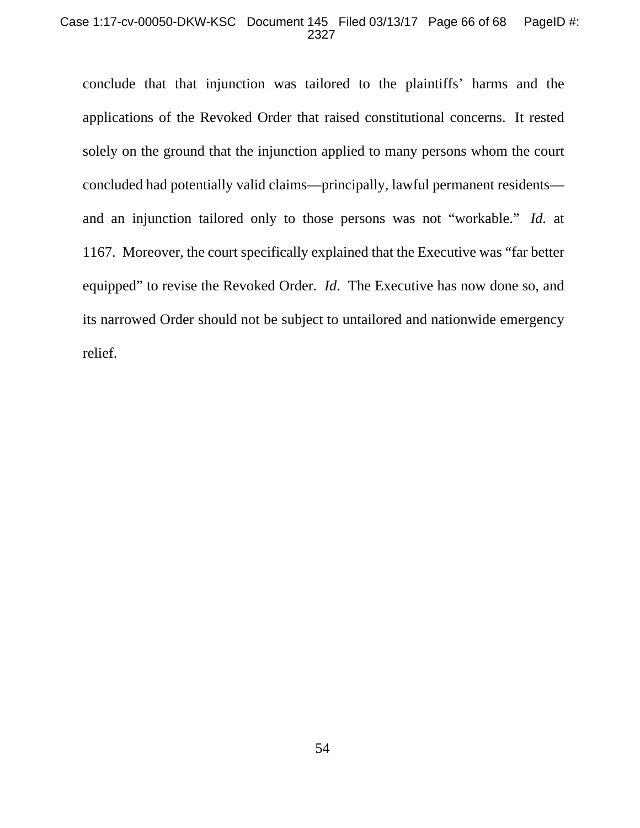#### Case 1:17-cv-00050-DKW-KSC Document 145 Filed 03/13/17 Page 66 of 68 PageID #: 2327

conclude that that injunction was tailored to the plaintiffs' harms and the applications of the Revoked Order that raised constitutional concerns. It rested solely on the ground that the injunction applied to many persons whom the court concluded had potentially valid claims—principally, lawful permanent residents and an injunction tailored only to those persons was not "workable." *Id.* at 1167. Moreover, the court specifically explained that the Executive was "far better equipped" to revise the Revoked Order. *Id*. The Executive has now done so, and its narrowed Order should not be subject to untailored and nationwide emergency relief.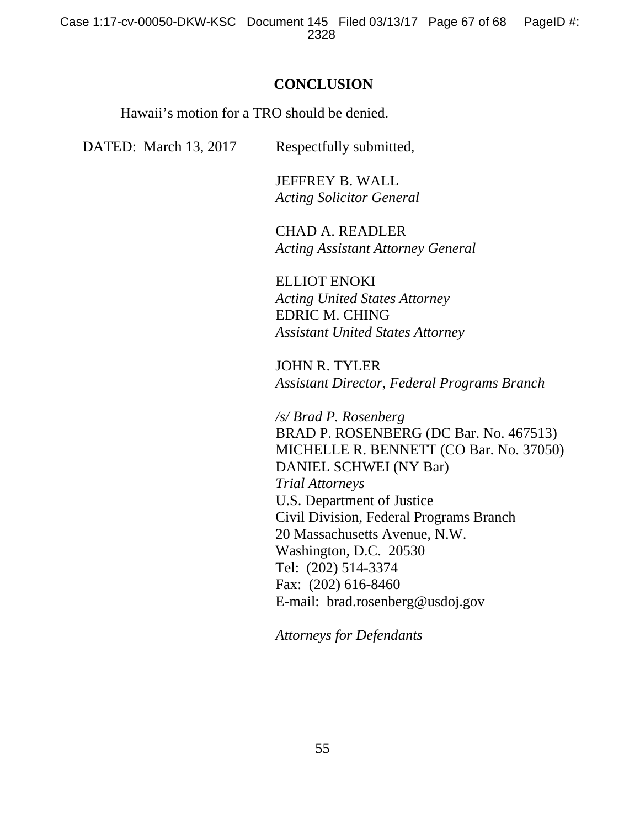### **CONCLUSION**

Hawaii's motion for a TRO should be denied.

DATED: March 13, 2017 Respectfully submitted,

 JEFFREY B. WALL *Acting Solicitor General* 

 CHAD A. READLER *Acting Assistant Attorney General* 

 ELLIOT ENOKI *Acting United States Attorney*  EDRIC M. CHING *Assistant United States Attorney* 

JOHN R. TYLER *Assistant Director, Federal Programs Branch* 

*/s/ Brad P. Rosenberg* 

BRAD P. ROSENBERG (DC Bar. No. 467513) MICHELLE R. BENNETT (CO Bar. No. 37050) DANIEL SCHWEI (NY Bar) *Trial Attorneys*  U.S. Department of Justice Civil Division, Federal Programs Branch 20 Massachusetts Avenue, N.W. Washington, D.C. 20530 Tel: (202) 514-3374 Fax: (202) 616-8460 E-mail: brad.rosenberg@usdoj.gov

*Attorneys for Defendants*